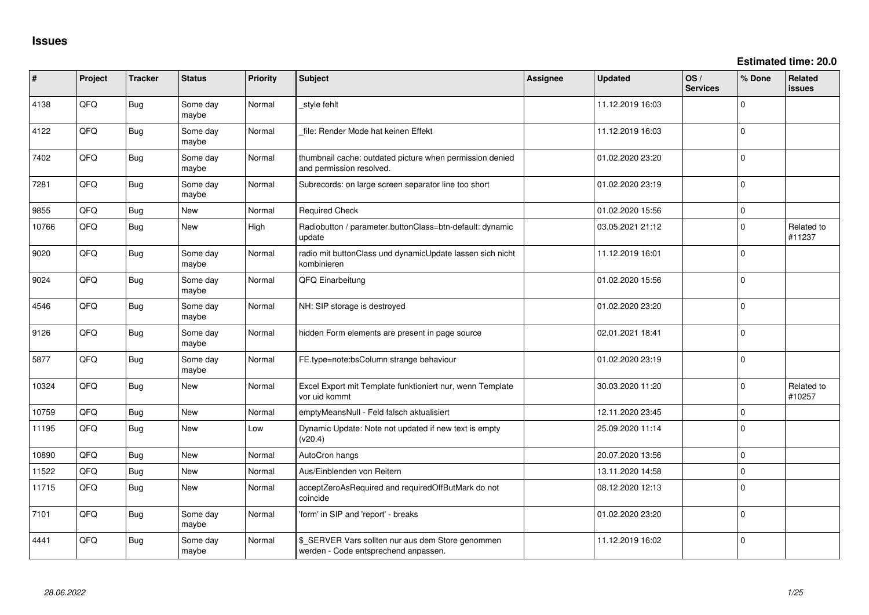**Estimated time: 20.0**

| #     | Project | <b>Tracker</b> | <b>Status</b>     | <b>Priority</b> | Subject                                                                                   | Assignee | <b>Updated</b>   | OS/<br><b>Services</b> | % Done      | Related<br>issues    |
|-------|---------|----------------|-------------------|-----------------|-------------------------------------------------------------------------------------------|----------|------------------|------------------------|-------------|----------------------|
| 4138  | QFQ     | Bug            | Some day<br>maybe | Normal          | style fehlt                                                                               |          | 11.12.2019 16:03 |                        | $\Omega$    |                      |
| 4122  | QFQ     | <b>Bug</b>     | Some day<br>maybe | Normal          | file: Render Mode hat keinen Effekt                                                       |          | 11.12.2019 16:03 |                        | $\Omega$    |                      |
| 7402  | QFQ     | <b>Bug</b>     | Some day<br>maybe | Normal          | thumbnail cache: outdated picture when permission denied<br>and permission resolved.      |          | 01.02.2020 23:20 |                        | $\Omega$    |                      |
| 7281  | QFQ     | <b>Bug</b>     | Some day<br>maybe | Normal          | Subrecords: on large screen separator line too short                                      |          | 01.02.2020 23:19 |                        | I٥          |                      |
| 9855  | QFQ     | Bug            | New               | Normal          | <b>Required Check</b>                                                                     |          | 01.02.2020 15:56 |                        | l 0         |                      |
| 10766 | QFQ     | Bug            | New               | High            | Radiobutton / parameter.buttonClass=btn-default: dynamic<br>update                        |          | 03.05.2021 21:12 |                        | I٥          | Related to<br>#11237 |
| 9020  | QFQ     | Bug            | Some day<br>maybe | Normal          | radio mit buttonClass und dynamicUpdate lassen sich nicht<br>kombinieren                  |          | 11.12.2019 16:01 |                        | $\mathbf 0$ |                      |
| 9024  | QFQ     | Bug            | Some day<br>maybe | Normal          | QFQ Einarbeitung                                                                          |          | 01.02.2020 15:56 |                        | I٥          |                      |
| 4546  | QFQ     | Bug            | Some day<br>maybe | Normal          | NH: SIP storage is destroyed                                                              |          | 01.02.2020 23:20 |                        | $\mathbf 0$ |                      |
| 9126  | QFQ     | <b>Bug</b>     | Some day<br>maybe | Normal          | hidden Form elements are present in page source                                           |          | 02.01.2021 18:41 |                        | $\Omega$    |                      |
| 5877  | QFQ     | Bug            | Some day<br>maybe | Normal          | FE.type=note:bsColumn strange behaviour                                                   |          | 01.02.2020 23:19 |                        | $\Omega$    |                      |
| 10324 | QFQ     | <b>Bug</b>     | New               | Normal          | Excel Export mit Template funktioniert nur, wenn Template<br>vor uid kommt                |          | 30.03.2020 11:20 |                        | $\Omega$    | Related to<br>#10257 |
| 10759 | QFQ     | Bug            | New               | Normal          | emptyMeansNull - Feld falsch aktualisiert                                                 |          | 12.11.2020 23:45 |                        | $\mathbf 0$ |                      |
| 11195 | QFQ     | Bug            | New               | Low             | Dynamic Update: Note not updated if new text is empty<br>(v20.4)                          |          | 25.09.2020 11:14 |                        | $\Omega$    |                      |
| 10890 | QFQ     | Bug            | <b>New</b>        | Normal          | AutoCron hangs                                                                            |          | 20.07.2020 13:56 |                        | I٥          |                      |
| 11522 | QFQ     | Bug            | New               | Normal          | Aus/Einblenden von Reitern                                                                |          | 13.11.2020 14:58 |                        | $\Omega$    |                      |
| 11715 | QFQ     | Bug            | New               | Normal          | acceptZeroAsRequired and requiredOffButMark do not<br>coincide                            |          | 08.12.2020 12:13 |                        | I٥          |                      |
| 7101  | QFQ     | Bug            | Some day<br>maybe | Normal          | 'form' in SIP and 'report' - breaks                                                       |          | 01.02.2020 23:20 |                        | l 0         |                      |
| 4441  | QFQ     | Bug            | Some day<br>maybe | Normal          | \$_SERVER Vars sollten nur aus dem Store genommen<br>werden - Code entsprechend anpassen. |          | 11.12.2019 16:02 |                        | I٥          |                      |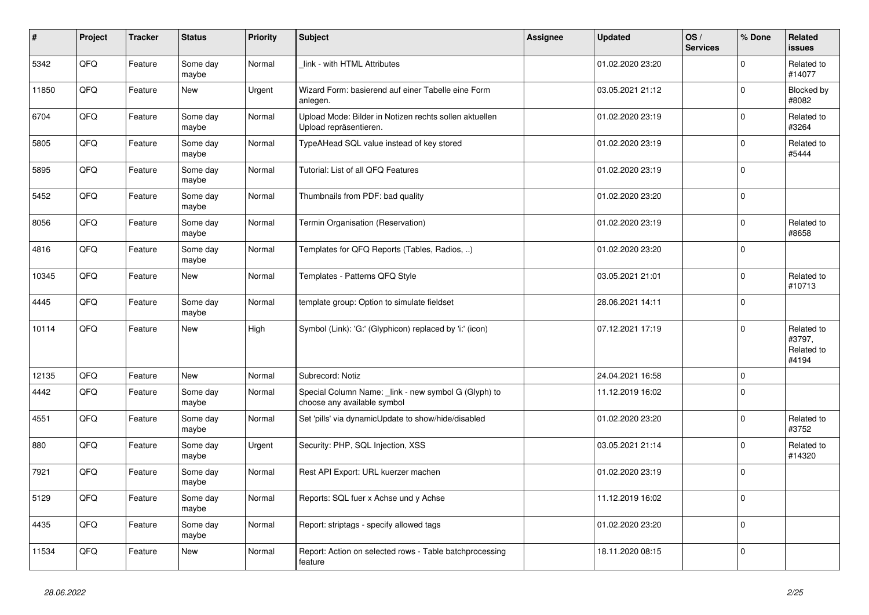| $\vert$ # | Project | <b>Tracker</b> | <b>Status</b>     | <b>Priority</b> | <b>Subject</b>                                                                      | Assignee | <b>Updated</b>   | OS/<br><b>Services</b> | % Done      | Related<br><b>issues</b>                    |
|-----------|---------|----------------|-------------------|-----------------|-------------------------------------------------------------------------------------|----------|------------------|------------------------|-------------|---------------------------------------------|
| 5342      | QFQ     | Feature        | Some day<br>maybe | Normal          | link - with HTML Attributes                                                         |          | 01.02.2020 23:20 |                        | $\Omega$    | Related to<br>#14077                        |
| 11850     | QFQ     | Feature        | New               | Urgent          | Wizard Form: basierend auf einer Tabelle eine Form<br>anlegen.                      |          | 03.05.2021 21:12 |                        | $\mathbf 0$ | Blocked by<br>#8082                         |
| 6704      | QFQ     | Feature        | Some day<br>maybe | Normal          | Upload Mode: Bilder in Notizen rechts sollen aktuellen<br>Upload repräsentieren.    |          | 01.02.2020 23:19 |                        | $\Omega$    | Related to<br>#3264                         |
| 5805      | QFQ     | Feature        | Some day<br>maybe | Normal          | TypeAHead SQL value instead of key stored                                           |          | 01.02.2020 23:19 |                        | $\mathbf 0$ | Related to<br>#5444                         |
| 5895      | QFQ     | Feature        | Some day<br>maybe | Normal          | Tutorial: List of all QFQ Features                                                  |          | 01.02.2020 23:19 |                        | $\mathbf 0$ |                                             |
| 5452      | QFQ     | Feature        | Some day<br>maybe | Normal          | Thumbnails from PDF: bad quality                                                    |          | 01.02.2020 23:20 |                        | $\Omega$    |                                             |
| 8056      | QFQ     | Feature        | Some day<br>maybe | Normal          | Termin Organisation (Reservation)                                                   |          | 01.02.2020 23:19 |                        | $\Omega$    | Related to<br>#8658                         |
| 4816      | QFQ     | Feature        | Some day<br>maybe | Normal          | Templates for QFQ Reports (Tables, Radios, )                                        |          | 01.02.2020 23:20 |                        | 0           |                                             |
| 10345     | QFQ     | Feature        | <b>New</b>        | Normal          | Templates - Patterns QFQ Style                                                      |          | 03.05.2021 21:01 |                        | $\mathbf 0$ | Related to<br>#10713                        |
| 4445      | QFQ     | Feature        | Some day<br>maybe | Normal          | template group: Option to simulate fieldset                                         |          | 28.06.2021 14:11 |                        | $\mathbf 0$ |                                             |
| 10114     | QFQ     | Feature        | <b>New</b>        | High            | Symbol (Link): 'G:' (Glyphicon) replaced by 'i:' (icon)                             |          | 07.12.2021 17:19 |                        | $\mathbf 0$ | Related to<br>#3797,<br>Related to<br>#4194 |
| 12135     | QFQ     | Feature        | <b>New</b>        | Normal          | Subrecord: Notiz                                                                    |          | 24.04.2021 16:58 |                        | $\Omega$    |                                             |
| 4442      | QFQ     | Feature        | Some day<br>maybe | Normal          | Special Column Name: _link - new symbol G (Glyph) to<br>choose any available symbol |          | 11.12.2019 16:02 |                        | $\Omega$    |                                             |
| 4551      | QFQ     | Feature        | Some day<br>maybe | Normal          | Set 'pills' via dynamicUpdate to show/hide/disabled                                 |          | 01.02.2020 23:20 |                        | $\Omega$    | Related to<br>#3752                         |
| 880       | QFQ     | Feature        | Some day<br>maybe | Urgent          | Security: PHP, SQL Injection, XSS                                                   |          | 03.05.2021 21:14 |                        | $\mathbf 0$ | Related to<br>#14320                        |
| 7921      | QFQ     | Feature        | Some day<br>maybe | Normal          | Rest API Export: URL kuerzer machen                                                 |          | 01.02.2020 23:19 |                        | $\mathbf 0$ |                                             |
| 5129      | QFQ     | Feature        | Some day<br>maybe | Normal          | Reports: SQL fuer x Achse und y Achse                                               |          | 11.12.2019 16:02 |                        | $\Omega$    |                                             |
| 4435      | QFQ     | Feature        | Some day<br>maybe | Normal          | Report: striptags - specify allowed tags                                            |          | 01.02.2020 23:20 |                        | $\Omega$    |                                             |
| 11534     | QFQ     | Feature        | <b>New</b>        | Normal          | Report: Action on selected rows - Table batchprocessing<br>feature                  |          | 18.11.2020 08:15 |                        | $\mathbf 0$ |                                             |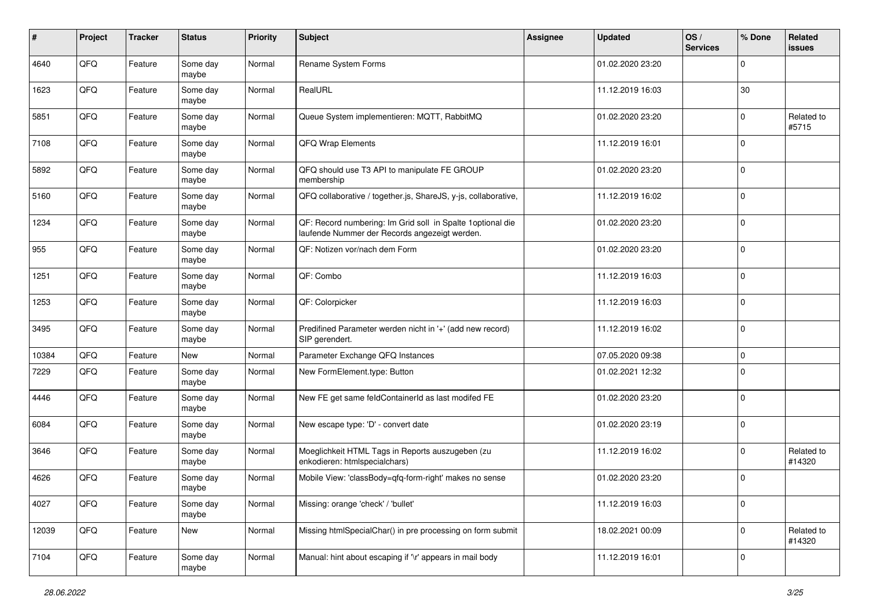| $\sharp$ | Project | <b>Tracker</b> | <b>Status</b>     | <b>Priority</b> | <b>Subject</b>                                                                                              | Assignee | Updated          | OS/<br><b>Services</b> | % Done       | Related<br><b>issues</b> |
|----------|---------|----------------|-------------------|-----------------|-------------------------------------------------------------------------------------------------------------|----------|------------------|------------------------|--------------|--------------------------|
| 4640     | QFQ     | Feature        | Some day<br>maybe | Normal          | Rename System Forms                                                                                         |          | 01.02.2020 23:20 |                        | $\Omega$     |                          |
| 1623     | QFQ     | Feature        | Some day<br>maybe | Normal          | RealURL                                                                                                     |          | 11.12.2019 16:03 |                        | 30           |                          |
| 5851     | QFQ     | Feature        | Some day<br>maybe | Normal          | Queue System implementieren: MQTT, RabbitMQ                                                                 |          | 01.02.2020 23:20 |                        | $\Omega$     | Related to<br>#5715      |
| 7108     | QFQ     | Feature        | Some day<br>maybe | Normal          | QFQ Wrap Elements                                                                                           |          | 11.12.2019 16:01 |                        | $\mathbf 0$  |                          |
| 5892     | QFQ     | Feature        | Some day<br>maybe | Normal          | QFQ should use T3 API to manipulate FE GROUP<br>membership                                                  |          | 01.02.2020 23:20 |                        | $\mathbf 0$  |                          |
| 5160     | QFQ     | Feature        | Some day<br>maybe | Normal          | QFQ collaborative / together.js, ShareJS, y-js, collaborative,                                              |          | 11.12.2019 16:02 |                        | $\Omega$     |                          |
| 1234     | QFQ     | Feature        | Some day<br>maybe | Normal          | QF: Record numbering: Im Grid soll in Spalte 1optional die<br>laufende Nummer der Records angezeigt werden. |          | 01.02.2020 23:20 |                        | $\Omega$     |                          |
| 955      | QFQ     | Feature        | Some day<br>maybe | Normal          | QF: Notizen vor/nach dem Form                                                                               |          | 01.02.2020 23:20 |                        | $\mathbf 0$  |                          |
| 1251     | QFQ     | Feature        | Some day<br>maybe | Normal          | QF: Combo                                                                                                   |          | 11.12.2019 16:03 |                        | $\mathbf 0$  |                          |
| 1253     | QFQ     | Feature        | Some day<br>maybe | Normal          | QF: Colorpicker                                                                                             |          | 11.12.2019 16:03 |                        | $\mathbf{0}$ |                          |
| 3495     | QFQ     | Feature        | Some day<br>maybe | Normal          | Predifined Parameter werden nicht in '+' (add new record)<br>SIP gerendert.                                 |          | 11.12.2019 16:02 |                        | l 0          |                          |
| 10384    | QFQ     | Feature        | New               | Normal          | Parameter Exchange QFQ Instances                                                                            |          | 07.05.2020 09:38 |                        | $\mathbf 0$  |                          |
| 7229     | QFQ     | Feature        | Some day<br>maybe | Normal          | New FormElement.type: Button                                                                                |          | 01.02.2021 12:32 |                        | $\Omega$     |                          |
| 4446     | QFQ     | Feature        | Some day<br>maybe | Normal          | New FE get same feldContainerId as last modifed FE                                                          |          | 01.02.2020 23:20 |                        | $\mathbf 0$  |                          |
| 6084     | QFQ     | Feature        | Some day<br>maybe | Normal          | New escape type: 'D' - convert date                                                                         |          | 01.02.2020 23:19 |                        | l 0          |                          |
| 3646     | QFQ     | Feature        | Some day<br>maybe | Normal          | Moeglichkeit HTML Tags in Reports auszugeben (zu<br>enkodieren: htmlspecialchars)                           |          | 11.12.2019 16:02 |                        | $\Omega$     | Related to<br>#14320     |
| 4626     | QFQ     | Feature        | Some day<br>maybe | Normal          | Mobile View: 'classBody=qfq-form-right' makes no sense                                                      |          | 01.02.2020 23:20 |                        | l 0          |                          |
| 4027     | QFQ     | Feature        | Some day<br>maybe | Normal          | Missing: orange 'check' / 'bullet'                                                                          |          | 11.12.2019 16:03 |                        | $\mathbf 0$  |                          |
| 12039    | QFQ     | Feature        | New               | Normal          | Missing htmlSpecialChar() in pre processing on form submit                                                  |          | 18.02.2021 00:09 |                        | $\mathbf 0$  | Related to<br>#14320     |
| 7104     | QFQ     | Feature        | Some day<br>maybe | Normal          | Manual: hint about escaping if '\r' appears in mail body                                                    |          | 11.12.2019 16:01 |                        | 0            |                          |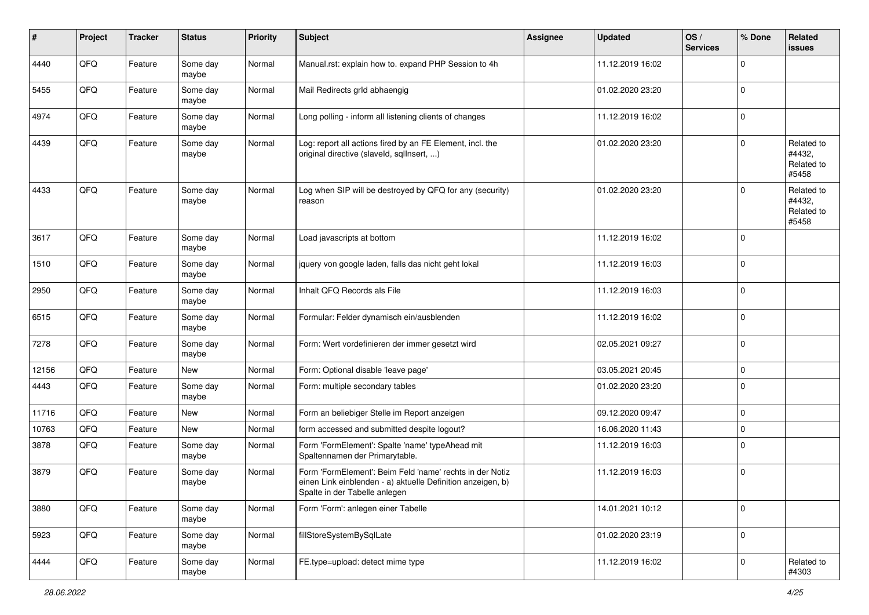| #     | Project | <b>Tracker</b> | <b>Status</b>     | <b>Priority</b> | Subject                                                                                                                                                  | <b>Assignee</b> | <b>Updated</b>   | OS/<br><b>Services</b> | % Done      | Related<br><b>issues</b>                    |
|-------|---------|----------------|-------------------|-----------------|----------------------------------------------------------------------------------------------------------------------------------------------------------|-----------------|------------------|------------------------|-------------|---------------------------------------------|
| 4440  | QFQ     | Feature        | Some day<br>maybe | Normal          | Manual.rst: explain how to. expand PHP Session to 4h                                                                                                     |                 | 11.12.2019 16:02 |                        | $\Omega$    |                                             |
| 5455  | QFQ     | Feature        | Some day<br>maybe | Normal          | Mail Redirects grld abhaengig                                                                                                                            |                 | 01.02.2020 23:20 |                        | 0           |                                             |
| 4974  | QFQ     | Feature        | Some day<br>maybe | Normal          | Long polling - inform all listening clients of changes                                                                                                   |                 | 11.12.2019 16:02 |                        | $\mathbf 0$ |                                             |
| 4439  | QFQ     | Feature        | Some day<br>maybe | Normal          | Log: report all actions fired by an FE Element, incl. the<br>original directive (slaveld, sqllnsert, )                                                   |                 | 01.02.2020 23:20 |                        | $\mathbf 0$ | Related to<br>#4432,<br>Related to<br>#5458 |
| 4433  | QFQ     | Feature        | Some day<br>maybe | Normal          | Log when SIP will be destroyed by QFQ for any (security)<br>reason                                                                                       |                 | 01.02.2020 23:20 |                        | $\mathbf 0$ | Related to<br>#4432,<br>Related to<br>#5458 |
| 3617  | QFQ     | Feature        | Some day<br>maybe | Normal          | Load javascripts at bottom                                                                                                                               |                 | 11.12.2019 16:02 |                        | $\mathbf 0$ |                                             |
| 1510  | QFQ     | Feature        | Some day<br>maybe | Normal          | jquery von google laden, falls das nicht geht lokal                                                                                                      |                 | 11.12.2019 16:03 |                        | 0           |                                             |
| 2950  | QFQ     | Feature        | Some day<br>maybe | Normal          | Inhalt QFQ Records als File                                                                                                                              |                 | 11.12.2019 16:03 |                        | $\mathbf 0$ |                                             |
| 6515  | QFQ     | Feature        | Some day<br>maybe | Normal          | Formular: Felder dynamisch ein/ausblenden                                                                                                                |                 | 11.12.2019 16:02 |                        | $\mathbf 0$ |                                             |
| 7278  | QFQ     | Feature        | Some day<br>maybe | Normal          | Form: Wert vordefinieren der immer gesetzt wird                                                                                                          |                 | 02.05.2021 09:27 |                        | $\mathbf 0$ |                                             |
| 12156 | QFQ     | Feature        | New               | Normal          | Form: Optional disable 'leave page'                                                                                                                      |                 | 03.05.2021 20:45 |                        | $\mathbf 0$ |                                             |
| 4443  | QFQ     | Feature        | Some day<br>maybe | Normal          | Form: multiple secondary tables                                                                                                                          |                 | 01.02.2020 23:20 |                        | $\mathbf 0$ |                                             |
| 11716 | QFQ     | Feature        | <b>New</b>        | Normal          | Form an beliebiger Stelle im Report anzeigen                                                                                                             |                 | 09.12.2020 09:47 |                        | $\mathbf 0$ |                                             |
| 10763 | QFQ     | Feature        | New               | Normal          | form accessed and submitted despite logout?                                                                                                              |                 | 16.06.2020 11:43 |                        | $\mathbf 0$ |                                             |
| 3878  | QFQ     | Feature        | Some day<br>maybe | Normal          | Form 'FormElement': Spalte 'name' typeAhead mit<br>Spaltennamen der Primarytable.                                                                        |                 | 11.12.2019 16:03 |                        | $\mathbf 0$ |                                             |
| 3879  | QFQ     | Feature        | Some day<br>maybe | Normal          | Form 'FormElement': Beim Feld 'name' rechts in der Notiz<br>einen Link einblenden - a) aktuelle Definition anzeigen, b)<br>Spalte in der Tabelle anlegen |                 | 11.12.2019 16:03 |                        | 0           |                                             |
| 3880  | QFQ     | Feature        | Some day<br>maybe | Normal          | Form 'Form': anlegen einer Tabelle                                                                                                                       |                 | 14.01.2021 10:12 |                        | 0           |                                             |
| 5923  | QFQ     | Feature        | Some day<br>maybe | Normal          | fillStoreSystemBySqlLate                                                                                                                                 |                 | 01.02.2020 23:19 |                        | 0           |                                             |
| 4444  | QFQ     | Feature        | Some day<br>maybe | Normal          | FE.type=upload: detect mime type                                                                                                                         |                 | 11.12.2019 16:02 |                        | 0           | Related to<br>#4303                         |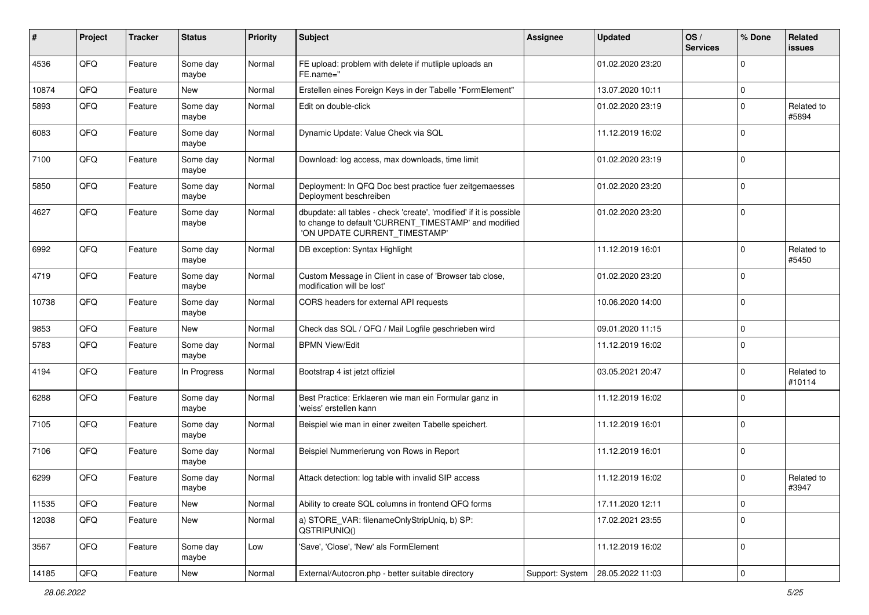| #     | Project | <b>Tracker</b> | <b>Status</b>     | <b>Priority</b> | Subject                                                                                                                                                       | <b>Assignee</b> | <b>Updated</b>   | OS/<br><b>Services</b> | % Done         | Related<br>issues    |
|-------|---------|----------------|-------------------|-----------------|---------------------------------------------------------------------------------------------------------------------------------------------------------------|-----------------|------------------|------------------------|----------------|----------------------|
| 4536  | QFQ     | Feature        | Some day<br>maybe | Normal          | FE upload: problem with delete if mutliple uploads an<br>FE.name="                                                                                            |                 | 01.02.2020 23:20 |                        | $\Omega$       |                      |
| 10874 | QFQ     | Feature        | New               | Normal          | Erstellen eines Foreign Keys in der Tabelle "FormElement"                                                                                                     |                 | 13.07.2020 10:11 |                        | $\mathbf 0$    |                      |
| 5893  | QFQ     | Feature        | Some day<br>maybe | Normal          | Edit on double-click                                                                                                                                          |                 | 01.02.2020 23:19 |                        | $\Omega$       | Related to<br>#5894  |
| 6083  | QFQ     | Feature        | Some day<br>maybe | Normal          | Dynamic Update: Value Check via SQL                                                                                                                           |                 | 11.12.2019 16:02 |                        | $\Omega$       |                      |
| 7100  | QFQ     | Feature        | Some day<br>maybe | Normal          | Download: log access, max downloads, time limit                                                                                                               |                 | 01.02.2020 23:19 |                        | $\Omega$       |                      |
| 5850  | QFQ     | Feature        | Some day<br>maybe | Normal          | Deployment: In QFQ Doc best practice fuer zeitgemaesses<br>Deployment beschreiben                                                                             |                 | 01.02.2020 23:20 |                        | $\Omega$       |                      |
| 4627  | QFQ     | Feature        | Some day<br>maybe | Normal          | dbupdate: all tables - check 'create', 'modified' if it is possible<br>to change to default 'CURRENT_TIMESTAMP' and modified<br>'ON UPDATE CURRENT_TIMESTAMP' |                 | 01.02.2020 23:20 |                        | $\mathbf 0$    |                      |
| 6992  | QFQ     | Feature        | Some day<br>maybe | Normal          | DB exception: Syntax Highlight                                                                                                                                |                 | 11.12.2019 16:01 |                        | $\Omega$       | Related to<br>#5450  |
| 4719  | QFQ     | Feature        | Some day<br>maybe | Normal          | Custom Message in Client in case of 'Browser tab close,<br>modification will be lost'                                                                         |                 | 01.02.2020 23:20 |                        | $\mathbf 0$    |                      |
| 10738 | QFQ     | Feature        | Some day<br>maybe | Normal          | CORS headers for external API requests                                                                                                                        |                 | 10.06.2020 14:00 |                        | $\Omega$       |                      |
| 9853  | QFQ     | Feature        | New               | Normal          | Check das SQL / QFQ / Mail Logfile geschrieben wird                                                                                                           |                 | 09.01.2020 11:15 |                        | $\mathbf 0$    |                      |
| 5783  | QFQ     | Feature        | Some day<br>maybe | Normal          | <b>BPMN View/Edit</b>                                                                                                                                         |                 | 11.12.2019 16:02 |                        | $\Omega$       |                      |
| 4194  | QFQ     | Feature        | In Progress       | Normal          | Bootstrap 4 ist jetzt offiziel                                                                                                                                |                 | 03.05.2021 20:47 |                        | $\Omega$       | Related to<br>#10114 |
| 6288  | QFQ     | Feature        | Some day<br>maybe | Normal          | Best Practice: Erklaeren wie man ein Formular ganz in<br>'weiss' erstellen kann                                                                               |                 | 11.12.2019 16:02 |                        | $\Omega$       |                      |
| 7105  | QFQ     | Feature        | Some day<br>maybe | Normal          | Beispiel wie man in einer zweiten Tabelle speichert.                                                                                                          |                 | 11.12.2019 16:01 |                        | $\mathbf 0$    |                      |
| 7106  | QFQ     | Feature        | Some day<br>maybe | Normal          | Beispiel Nummerierung von Rows in Report                                                                                                                      |                 | 11.12.2019 16:01 |                        | $\Omega$       |                      |
| 6299  | QFQ     | Feature        | Some day<br>maybe | Normal          | Attack detection: log table with invalid SIP access                                                                                                           |                 | 11.12.2019 16:02 |                        | $\Omega$       | Related to<br>#3947  |
| 11535 | QFQ     | Feature        | New               | Normal          | Ability to create SQL columns in frontend QFQ forms                                                                                                           |                 | 17.11.2020 12:11 |                        | $\mathbf 0$    |                      |
| 12038 | QFQ     | Feature        | New               | Normal          | a) STORE VAR: filenameOnlyStripUniq, b) SP:<br>QSTRIPUNIQ()                                                                                                   |                 | 17.02.2021 23:55 |                        | $\mathbf 0$    |                      |
| 3567  | QFQ     | Feature        | Some day<br>maybe | Low             | 'Save', 'Close', 'New' als FormElement                                                                                                                        |                 | 11.12.2019 16:02 |                        | 0              |                      |
| 14185 | QFQ     | Feature        | New               | Normal          | External/Autocron.php - better suitable directory                                                                                                             | Support: System | 28.05.2022 11:03 |                        | $\overline{0}$ |                      |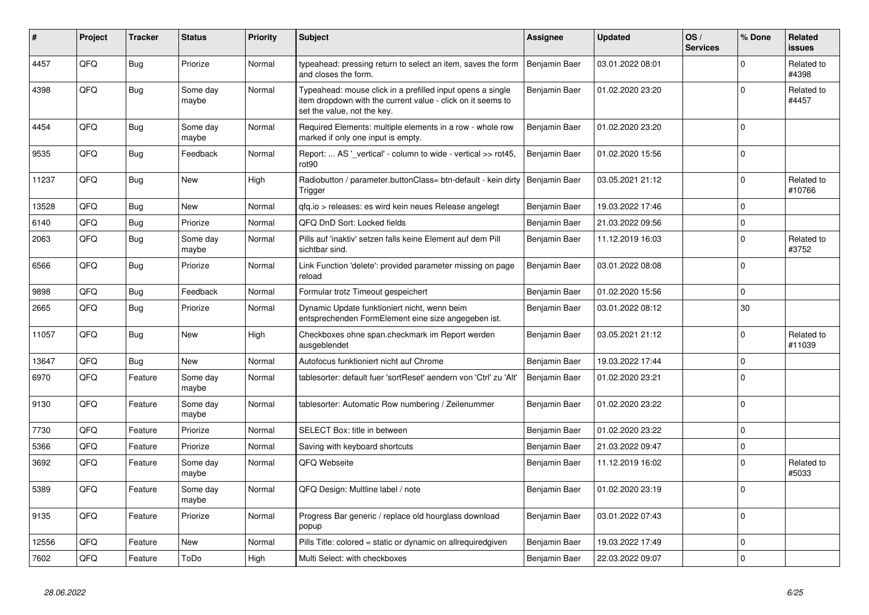| ∦     | Project | <b>Tracker</b> | <b>Status</b>     | <b>Priority</b> | <b>Subject</b>                                                                                                                                           | Assignee      | <b>Updated</b>   | OS/<br><b>Services</b> | % Done      | Related<br><b>issues</b> |
|-------|---------|----------------|-------------------|-----------------|----------------------------------------------------------------------------------------------------------------------------------------------------------|---------------|------------------|------------------------|-------------|--------------------------|
| 4457  | QFQ     | Bug            | Priorize          | Normal          | typeahead: pressing return to select an item, saves the form<br>and closes the form.                                                                     | Benjamin Baer | 03.01.2022 08:01 |                        | $\Omega$    | Related to<br>#4398      |
| 4398  | QFQ     | Bug            | Some day<br>maybe | Normal          | Typeahead: mouse click in a prefilled input opens a single<br>item dropdown with the current value - click on it seems to<br>set the value, not the key. | Benjamin Baer | 01.02.2020 23:20 |                        | $\Omega$    | Related to<br>#4457      |
| 4454  | QFQ     | Bug            | Some day<br>maybe | Normal          | Required Elements: multiple elements in a row - whole row<br>marked if only one input is empty.                                                          | Benjamin Baer | 01.02.2020 23:20 |                        | $\Omega$    |                          |
| 9535  | QFQ     | <b>Bug</b>     | Feedback          | Normal          | Report:  AS ' vertical' - column to wide - vertical >> rot45,<br>rot <sub>90</sub>                                                                       | Benjamin Baer | 01.02.2020 15:56 |                        | $\Omega$    |                          |
| 11237 | QFQ     | <b>Bug</b>     | <b>New</b>        | High            | Radiobutton / parameter.buttonClass= btn-default - kein dirty   Benjamin Baer<br>Trigger                                                                 |               | 03.05.2021 21:12 |                        | $\Omega$    | Related to<br>#10766     |
| 13528 | QFQ     | Bug            | <b>New</b>        | Normal          | gfg.io > releases: es wird kein neues Release angelegt                                                                                                   | Benjamin Baer | 19.03.2022 17:46 |                        | $\mathbf 0$ |                          |
| 6140  | QFQ     | <b>Bug</b>     | Priorize          | Normal          | QFQ DnD Sort: Locked fields                                                                                                                              | Benjamin Baer | 21.03.2022 09:56 |                        | $\Omega$    |                          |
| 2063  | QFQ     | <b>Bug</b>     | Some day<br>maybe | Normal          | Pills auf 'inaktiv' setzen falls keine Element auf dem Pill<br>sichtbar sind.                                                                            | Benjamin Baer | 11.12.2019 16:03 |                        | $\Omega$    | Related to<br>#3752      |
| 6566  | QFQ     | Bug            | Priorize          | Normal          | Link Function 'delete': provided parameter missing on page<br>reload                                                                                     | Benjamin Baer | 03.01.2022 08:08 |                        | $\mathbf 0$ |                          |
| 9898  | QFQ     | <b>Bug</b>     | Feedback          | Normal          | Formular trotz Timeout gespeichert                                                                                                                       | Benjamin Baer | 01.02.2020 15:56 |                        | $\mathbf 0$ |                          |
| 2665  | QFQ     | <b>Bug</b>     | Priorize          | Normal          | Dynamic Update funktioniert nicht, wenn beim<br>entsprechenden FormElement eine size angegeben ist.                                                      | Benjamin Baer | 03.01.2022 08:12 |                        | 30          |                          |
| 11057 | QFQ     | Bug            | New               | High            | Checkboxes ohne span.checkmark im Report werden<br>ausgeblendet                                                                                          | Benjamin Baer | 03.05.2021 21:12 |                        | $\Omega$    | Related to<br>#11039     |
| 13647 | QFQ     | Bug            | New               | Normal          | Autofocus funktioniert nicht auf Chrome                                                                                                                  | Benjamin Baer | 19.03.2022 17:44 |                        | $\mathbf 0$ |                          |
| 6970  | QFQ     | Feature        | Some day<br>maybe | Normal          | tablesorter: default fuer 'sortReset' aendern von 'Ctrl' zu 'Alt'                                                                                        | Benjamin Baer | 01.02.2020 23:21 |                        | $\Omega$    |                          |
| 9130  | QFQ     | Feature        | Some day<br>maybe | Normal          | tablesorter: Automatic Row numbering / Zeilenummer                                                                                                       | Benjamin Baer | 01.02.2020 23:22 |                        | $\Omega$    |                          |
| 7730  | QFQ     | Feature        | Priorize          | Normal          | SELECT Box: title in between                                                                                                                             | Benjamin Baer | 01.02.2020 23:22 |                        | 0           |                          |
| 5366  | QFQ     | Feature        | Priorize          | Normal          | Saving with keyboard shortcuts                                                                                                                           | Benjamin Baer | 21.03.2022 09:47 |                        | $\mathbf 0$ |                          |
| 3692  | QFQ     | Feature        | Some day<br>maybe | Normal          | QFQ Webseite                                                                                                                                             | Benjamin Baer | 11.12.2019 16:02 |                        | $\mathbf 0$ | Related to<br>#5033      |
| 5389  | QFQ     | Feature        | Some day<br>maybe | Normal          | QFQ Design: Multline label / note                                                                                                                        | Benjamin Baer | 01.02.2020 23:19 |                        | $\Omega$    |                          |
| 9135  | QFQ     | Feature        | Priorize          | Normal          | Progress Bar generic / replace old hourglass download<br>popup                                                                                           | Benjamin Baer | 03.01.2022 07:43 |                        | $\mathbf 0$ |                          |
| 12556 | QFQ     | Feature        | <b>New</b>        | Normal          | Pills Title: colored = static or dynamic on allrequiredgiven                                                                                             | Benjamin Baer | 19.03.2022 17:49 |                        | $\mathbf 0$ |                          |
| 7602  | QFQ     | Feature        | ToDo              | High            | Multi Select: with checkboxes                                                                                                                            | Benjamin Baer | 22.03.2022 09:07 |                        | $\Omega$    |                          |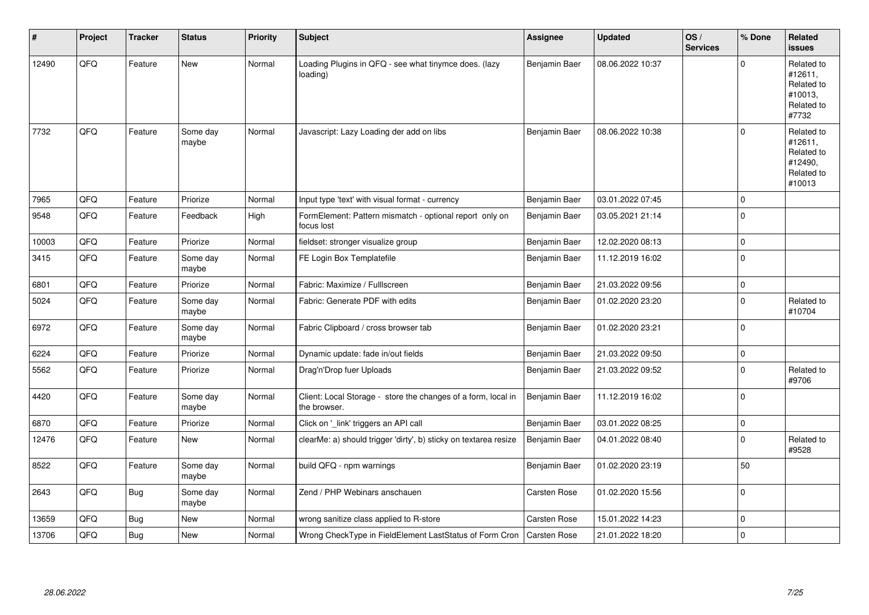| #     | Project | <b>Tracker</b> | <b>Status</b>     | <b>Priority</b> | Subject                                                                       | <b>Assignee</b> | <b>Updated</b>   | OS/<br><b>Services</b> | % Done         | Related<br><b>issues</b>                                               |
|-------|---------|----------------|-------------------|-----------------|-------------------------------------------------------------------------------|-----------------|------------------|------------------------|----------------|------------------------------------------------------------------------|
| 12490 | QFQ     | Feature        | New               | Normal          | Loading Plugins in QFQ - see what tinymce does. (lazy<br>loading)             | Benjamin Baer   | 08.06.2022 10:37 |                        | $\Omega$       | Related to<br>#12611,<br>Related to<br>#10013,<br>Related to<br>#7732  |
| 7732  | QFQ     | Feature        | Some day<br>maybe | Normal          | Javascript: Lazy Loading der add on libs                                      | Benjamin Baer   | 08.06.2022 10:38 |                        | $\Omega$       | Related to<br>#12611,<br>Related to<br>#12490,<br>Related to<br>#10013 |
| 7965  | QFQ     | Feature        | Priorize          | Normal          | Input type 'text' with visual format - currency                               | Benjamin Baer   | 03.01.2022 07:45 |                        | $\Omega$       |                                                                        |
| 9548  | QFQ     | Feature        | Feedback          | High            | FormElement: Pattern mismatch - optional report only on<br>focus lost         | Benjamin Baer   | 03.05.2021 21:14 |                        | $\Omega$       |                                                                        |
| 10003 | QFQ     | Feature        | Priorize          | Normal          | fieldset: stronger visualize group                                            | Benjamin Baer   | 12.02.2020 08:13 |                        | 0              |                                                                        |
| 3415  | QFQ     | Feature        | Some day<br>maybe | Normal          | FE Login Box Templatefile                                                     | Benjamin Baer   | 11.12.2019 16:02 |                        | 0              |                                                                        |
| 6801  | QFQ     | Feature        | Priorize          | Normal          | Fabric: Maximize / Fulllscreen                                                | Benjamin Baer   | 21.03.2022 09:56 |                        | 0              |                                                                        |
| 5024  | QFQ     | Feature        | Some day<br>maybe | Normal          | Fabric: Generate PDF with edits                                               | Benjamin Baer   | 01.02.2020 23:20 |                        | $\mathbf 0$    | Related to<br>#10704                                                   |
| 6972  | QFQ     | Feature        | Some day<br>maybe | Normal          | Fabric Clipboard / cross browser tab                                          | Benjamin Baer   | 01.02.2020 23:21 |                        | $\Omega$       |                                                                        |
| 6224  | QFQ     | Feature        | Priorize          | Normal          | Dynamic update: fade in/out fields                                            | Benjamin Baer   | 21.03.2022 09:50 |                        | 0              |                                                                        |
| 5562  | QFQ     | Feature        | Priorize          | Normal          | Drag'n'Drop fuer Uploads                                                      | Benjamin Baer   | 21.03.2022 09:52 |                        | $\Omega$       | Related to<br>#9706                                                    |
| 4420  | QFQ     | Feature        | Some day<br>maybe | Normal          | Client: Local Storage - store the changes of a form, local in<br>the browser. | Benjamin Baer   | 11.12.2019 16:02 |                        | $\overline{0}$ |                                                                        |
| 6870  | QFQ     | Feature        | Priorize          | Normal          | Click on '_link' triggers an API call                                         | Benjamin Baer   | 03.01.2022 08:25 |                        | 0              |                                                                        |
| 12476 | QFQ     | Feature        | New               | Normal          | clearMe: a) should trigger 'dirty', b) sticky on textarea resize              | Benjamin Baer   | 04.01.2022 08:40 |                        | $\mathbf 0$    | Related to<br>#9528                                                    |
| 8522  | QFQ     | Feature        | Some day<br>maybe | Normal          | build QFQ - npm warnings                                                      | Benjamin Baer   | 01.02.2020 23:19 |                        | 50             |                                                                        |
| 2643  | QFQ     | Bug            | Some day<br>maybe | Normal          | Zend / PHP Webinars anschauen                                                 | Carsten Rose    | 01.02.2020 15:56 |                        | $\Omega$       |                                                                        |
| 13659 | QFQ     | Bug            | <b>New</b>        | Normal          | wrong sanitize class applied to R-store                                       | Carsten Rose    | 15.01.2022 14:23 |                        | $\Omega$       |                                                                        |
| 13706 | QFQ     | Bug            | <b>New</b>        | Normal          | Wrong CheckType in FieldElement LastStatus of Form Cron                       | Carsten Rose    | 21.01.2022 18:20 |                        | $\mathbf 0$    |                                                                        |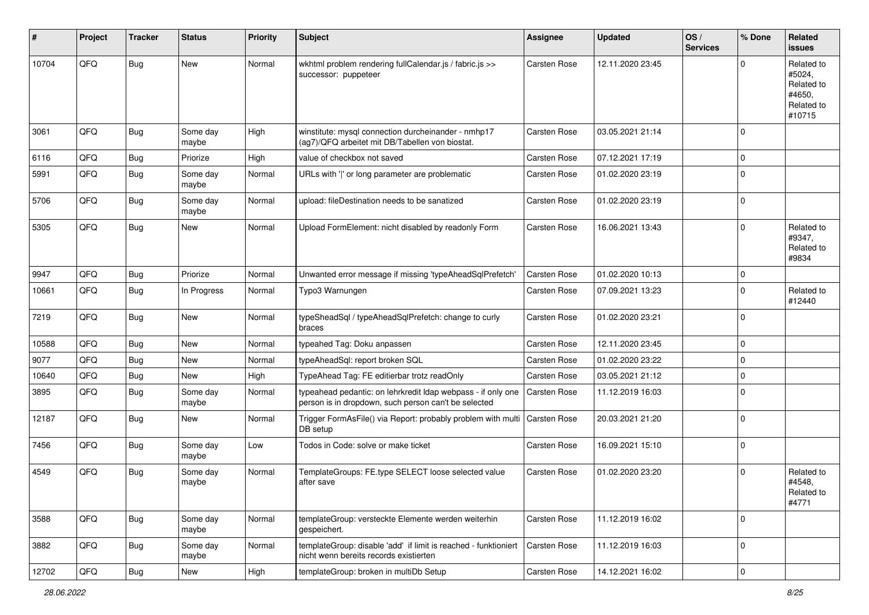| #     | Project | <b>Tracker</b> | <b>Status</b>     | <b>Priority</b> | <b>Subject</b>                                                                                                       | <b>Assignee</b>     | <b>Updated</b>   | OS/<br><b>Services</b> | % Done      | Related<br>issues                                                    |
|-------|---------|----------------|-------------------|-----------------|----------------------------------------------------------------------------------------------------------------------|---------------------|------------------|------------------------|-------------|----------------------------------------------------------------------|
| 10704 | QFQ     | Bug            | <b>New</b>        | Normal          | wkhtml problem rendering fullCalendar.js / fabric.js >><br>successor: puppeteer                                      | Carsten Rose        | 12.11.2020 23:45 |                        | ∩           | Related to<br>#5024,<br>Related to<br>#4650,<br>Related to<br>#10715 |
| 3061  | QFQ     | Bug            | Some day<br>maybe | High            | winstitute: mysql connection durcheinander - nmhp17<br>(ag7)/QFQ arbeitet mit DB/Tabellen von biostat.               | <b>Carsten Rose</b> | 03.05.2021 21:14 |                        | $\Omega$    |                                                                      |
| 6116  | QFQ     | <b>Bug</b>     | Priorize          | High            | value of checkbox not saved                                                                                          | <b>Carsten Rose</b> | 07.12.2021 17:19 |                        | $\mathbf 0$ |                                                                      |
| 5991  | QFQ     | Bug            | Some day<br>maybe | Normal          | URLs with ' ' or long parameter are problematic                                                                      | <b>Carsten Rose</b> | 01.02.2020 23:19 |                        | $\mathbf 0$ |                                                                      |
| 5706  | QFQ     | Bug            | Some day<br>maybe | Normal          | upload: fileDestination needs to be sanatized                                                                        | Carsten Rose        | 01.02.2020 23:19 |                        | 0           |                                                                      |
| 5305  | QFQ     | Bug            | New               | Normal          | Upload FormElement: nicht disabled by readonly Form                                                                  | Carsten Rose        | 16.06.2021 13:43 |                        | $\Omega$    | Related to<br>#9347,<br>Related to<br>#9834                          |
| 9947  | QFQ     | <b>Bug</b>     | Priorize          | Normal          | Unwanted error message if missing 'typeAheadSqlPrefetch'                                                             | Carsten Rose        | 01.02.2020 10:13 |                        | $\mathbf 0$ |                                                                      |
| 10661 | QFQ     | Bug            | In Progress       | Normal          | Typo3 Warnungen                                                                                                      | <b>Carsten Rose</b> | 07.09.2021 13:23 |                        | $\Omega$    | Related to<br>#12440                                                 |
| 7219  | QFQ     | Bug            | New               | Normal          | typeSheadSql / typeAheadSqlPrefetch: change to curly<br>braces                                                       | <b>Carsten Rose</b> | 01.02.2020 23:21 |                        | $\Omega$    |                                                                      |
| 10588 | QFQ     | <b>Bug</b>     | <b>New</b>        | Normal          | typeahed Tag: Doku anpassen                                                                                          | Carsten Rose        | 12.11.2020 23:45 |                        | 0           |                                                                      |
| 9077  | QFQ     | <b>Bug</b>     | New               | Normal          | typeAheadSql: report broken SQL                                                                                      | Carsten Rose        | 01.02.2020 23:22 |                        | $\mathbf 0$ |                                                                      |
| 10640 | QFQ     | <b>Bug</b>     | New               | High            | TypeAhead Tag: FE editierbar trotz readOnly                                                                          | Carsten Rose        | 03.05.2021 21:12 |                        | $\Omega$    |                                                                      |
| 3895  | QFQ     | Bug            | Some day<br>maybe | Normal          | typeahead pedantic: on lehrkredit Idap webpass - if only one<br>person is in dropdown, such person can't be selected | Carsten Rose        | 11.12.2019 16:03 |                        | $\Omega$    |                                                                      |
| 12187 | QFQ     | Bug            | New               | Normal          | Trigger FormAsFile() via Report: probably problem with multi<br>DB setup                                             | Carsten Rose        | 20.03.2021 21:20 |                        | $\Omega$    |                                                                      |
| 7456  | QFQ     | Bug            | Some day<br>maybe | Low             | Todos in Code: solve or make ticket                                                                                  | Carsten Rose        | 16.09.2021 15:10 |                        | $\Omega$    |                                                                      |
| 4549  | QFQ     | <b>Bug</b>     | Some day<br>maybe | Normal          | TemplateGroups: FE.type SELECT loose selected value<br>after save                                                    | Carsten Rose        | 01.02.2020 23:20 |                        | $\Omega$    | Related to<br>#4548,<br>Related to<br>#4771                          |
| 3588  | QFQ     | <b>Bug</b>     | Some day<br>maybe | Normal          | templateGroup: versteckte Elemente werden weiterhin<br>gespeichert.                                                  | Carsten Rose        | 11.12.2019 16:02 |                        | $\mathbf 0$ |                                                                      |
| 3882  | QFQ     | <b>Bug</b>     | Some day<br>maybe | Normal          | templateGroup: disable 'add' if limit is reached - funktioniert<br>nicht wenn bereits records existierten            | Carsten Rose        | 11.12.2019 16:03 |                        | 0           |                                                                      |
| 12702 | QFQ     | Bug            | New               | High            | templateGroup: broken in multiDb Setup                                                                               | Carsten Rose        | 14.12.2021 16:02 |                        | 0           |                                                                      |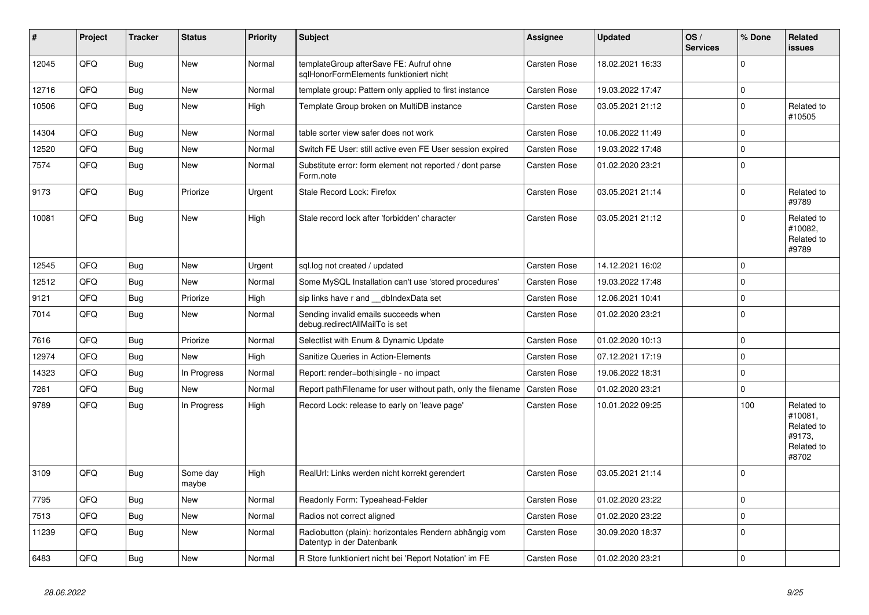| #     | <b>Project</b> | <b>Tracker</b> | <b>Status</b>     | <b>Priority</b> | <b>Subject</b>                                                                      | Assignee            | <b>Updated</b>   | OS/<br><b>Services</b> | % Done      | Related<br>issues                                                    |
|-------|----------------|----------------|-------------------|-----------------|-------------------------------------------------------------------------------------|---------------------|------------------|------------------------|-------------|----------------------------------------------------------------------|
| 12045 | QFQ            | Bug            | <b>New</b>        | Normal          | templateGroup afterSave FE: Aufruf ohne<br>sglHonorFormElements funktioniert nicht  | <b>Carsten Rose</b> | 18.02.2021 16:33 |                        | $\Omega$    |                                                                      |
| 12716 | QFQ            | <b>Bug</b>     | <b>New</b>        | Normal          | template group: Pattern only applied to first instance                              | <b>Carsten Rose</b> | 19.03.2022 17:47 |                        | $\mathbf 0$ |                                                                      |
| 10506 | QFQ            | Bug            | New               | High            | Template Group broken on MultiDB instance                                           | <b>Carsten Rose</b> | 03.05.2021 21:12 |                        | l O         | Related to<br>#10505                                                 |
| 14304 | QFQ            | Bug            | New               | Normal          | table sorter view safer does not work                                               | <b>Carsten Rose</b> | 10.06.2022 11:49 |                        | $\mathbf 0$ |                                                                      |
| 12520 | QFQ            | Bug            | New               | Normal          | Switch FE User: still active even FE User session expired                           | <b>Carsten Rose</b> | 19.03.2022 17:48 |                        | l O         |                                                                      |
| 7574  | QFQ            | Bug            | New               | Normal          | Substitute error: form element not reported / dont parse<br>Form.note               | <b>Carsten Rose</b> | 01.02.2020 23:21 |                        | l O         |                                                                      |
| 9173  | QFQ            | Bug            | Priorize          | Urgent          | Stale Record Lock: Firefox                                                          | <b>Carsten Rose</b> | 03.05.2021 21:14 |                        | $\Omega$    | Related to<br>#9789                                                  |
| 10081 | QFQ            | <b>Bug</b>     | New               | High            | Stale record lock after 'forbidden' character                                       | <b>Carsten Rose</b> | 03.05.2021 21:12 |                        | $\Omega$    | Related to<br>#10082,<br>Related to<br>#9789                         |
| 12545 | QFQ            | Bug            | <b>New</b>        | Urgent          | sql.log not created / updated                                                       | Carsten Rose        | 14.12.2021 16:02 |                        | I٥          |                                                                      |
| 12512 | QFQ            | Bug            | New               | Normal          | Some MySQL Installation can't use 'stored procedures'                               | <b>Carsten Rose</b> | 19.03.2022 17:48 |                        | $\Omega$    |                                                                      |
| 9121  | QFQ            | Bug            | Priorize          | High            | sip links have r and __dbIndexData set                                              | <b>Carsten Rose</b> | 12.06.2021 10:41 |                        | $\mathbf 0$ |                                                                      |
| 7014  | QFQ            | Bug            | New               | Normal          | Sending invalid emails succeeds when<br>debug.redirectAllMailTo is set              | Carsten Rose        | 01.02.2020 23:21 |                        | I٥          |                                                                      |
| 7616  | QFQ            | Bug            | Priorize          | Normal          | Selectlist with Enum & Dynamic Update                                               | <b>Carsten Rose</b> | 01.02.2020 10:13 |                        | I٥          |                                                                      |
| 12974 | QFQ            | <b>Bug</b>     | New               | High            | Sanitize Queries in Action-Elements                                                 | <b>Carsten Rose</b> | 07.12.2021 17:19 |                        | $\Omega$    |                                                                      |
| 14323 | QFQ            | <b>Bug</b>     | In Progress       | Normal          | Report: render=both single - no impact                                              | Carsten Rose        | 19.06.2022 18:31 |                        | $\Omega$    |                                                                      |
| 7261  | QFQ            | Bug            | New               | Normal          | Report pathFilename for user without path, only the filename                        | Carsten Rose        | 01.02.2020 23:21 |                        | $\Omega$    |                                                                      |
| 9789  | QFQ            | <b>Bug</b>     | In Progress       | High            | Record Lock: release to early on 'leave page'                                       | <b>Carsten Rose</b> | 10.01.2022 09:25 |                        | 100         | Related to<br>#10081.<br>Related to<br>#9173.<br>Related to<br>#8702 |
| 3109  | QFQ            | Bug            | Some day<br>maybe | High            | RealUrl: Links werden nicht korrekt gerendert                                       | <b>Carsten Rose</b> | 03.05.2021 21:14 |                        | I٥          |                                                                      |
| 7795  | QFQ            | Bug            | New               | Normal          | Readonly Form: Typeahead-Felder                                                     | <b>Carsten Rose</b> | 01.02.2020 23:22 |                        | $\mathbf 0$ |                                                                      |
| 7513  | QFQ            | Bug            | New               | Normal          | Radios not correct aligned                                                          | <b>Carsten Rose</b> | 01.02.2020 23:22 |                        | I٥          |                                                                      |
| 11239 | QFQ            | Bug            | <b>New</b>        | Normal          | Radiobutton (plain): horizontales Rendern abhängig vom<br>Datentyp in der Datenbank | <b>Carsten Rose</b> | 30.09.2020 18:37 |                        | I٥          |                                                                      |
| 6483  | QFQ            | Bug            | New               | Normal          | R Store funktioniert nicht bei 'Report Notation' im FE                              | <b>Carsten Rose</b> | 01.02.2020 23:21 |                        | l 0         |                                                                      |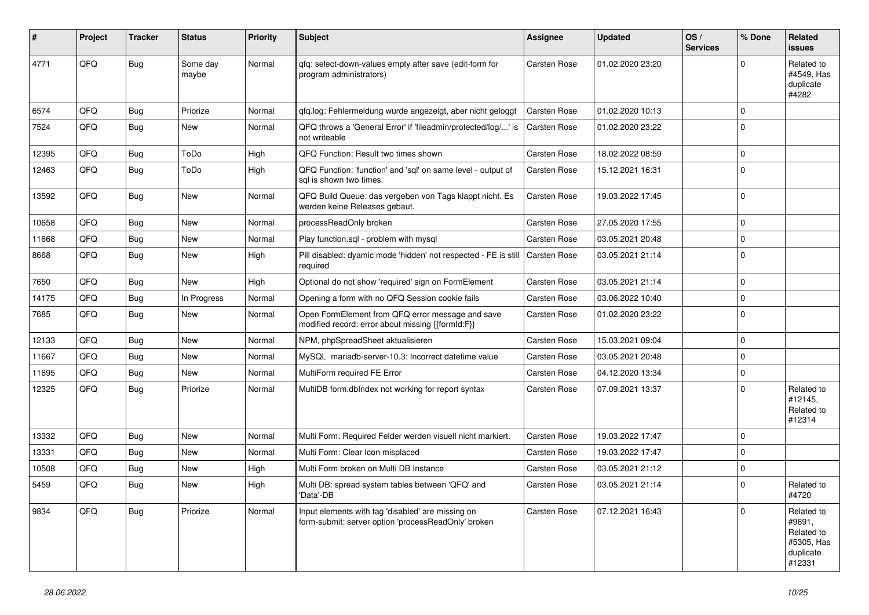| ∦     | Project | <b>Tracker</b> | <b>Status</b>     | <b>Priority</b> | <b>Subject</b>                                                                                           | Assignee            | <b>Updated</b>   | OS/<br><b>Services</b> | % Done         | Related<br><b>issues</b>                                                |
|-------|---------|----------------|-------------------|-----------------|----------------------------------------------------------------------------------------------------------|---------------------|------------------|------------------------|----------------|-------------------------------------------------------------------------|
| 4771  | QFQ     | <b>Bug</b>     | Some day<br>maybe | Normal          | gfg: select-down-values empty after save (edit-form for<br>program administrators)                       | <b>Carsten Rose</b> | 01.02.2020 23:20 |                        | $\Omega$       | Related to<br>#4549, Has<br>duplicate<br>#4282                          |
| 6574  | QFQ     | <b>Bug</b>     | Priorize          | Normal          | gfg.log: Fehlermeldung wurde angezeigt, aber nicht geloggt                                               | <b>Carsten Rose</b> | 01.02.2020 10:13 |                        | $\Omega$       |                                                                         |
| 7524  | QFQ     | <b>Bug</b>     | <b>New</b>        | Normal          | QFQ throws a 'General Error' if 'fileadmin/protected/log/' is<br>not writeable                           | <b>Carsten Rose</b> | 01.02.2020 23:22 |                        | $\Omega$       |                                                                         |
| 12395 | QFQ     | Bug            | ToDo              | High            | QFQ Function: Result two times shown                                                                     | <b>Carsten Rose</b> | 18.02.2022 08:59 |                        | $\mathbf 0$    |                                                                         |
| 12463 | QFQ     | Bug            | ToDo              | High            | QFQ Function: 'function' and 'sql' on same level - output of<br>sal is shown two times.                  | Carsten Rose        | 15.12.2021 16:31 |                        | $\mathbf 0$    |                                                                         |
| 13592 | QFQ     | Bug            | <b>New</b>        | Normal          | QFQ Build Queue: das vergeben von Tags klappt nicht. Es<br>werden keine Releases gebaut.                 | <b>Carsten Rose</b> | 19.03.2022 17:45 |                        | $\Omega$       |                                                                         |
| 10658 | QFQ     | <b>Bug</b>     | <b>New</b>        | Normal          | processReadOnly broken                                                                                   | <b>Carsten Rose</b> | 27.05.2020 17:55 |                        | $\Omega$       |                                                                         |
| 11668 | QFQ     | Bug            | <b>New</b>        | Normal          | Play function.sql - problem with mysql                                                                   | <b>Carsten Rose</b> | 03.05.2021 20:48 |                        | $\Omega$       |                                                                         |
| 8668  | QFQ     | <b>Bug</b>     | New               | High            | Pill disabled: dyamic mode 'hidden' not respected - FE is still<br>required                              | <b>Carsten Rose</b> | 03.05.2021 21:14 |                        | $\overline{0}$ |                                                                         |
| 7650  | QFQ     | <b>Bug</b>     | <b>New</b>        | High            | Optional do not show 'required' sign on FormElement                                                      | <b>Carsten Rose</b> | 03.05.2021 21:14 |                        | $\Omega$       |                                                                         |
| 14175 | QFQ     | <b>Bug</b>     | In Progress       | Normal          | Opening a form with no QFQ Session cookie fails                                                          | Carsten Rose        | 03.06.2022 10:40 |                        | $\Omega$       |                                                                         |
| 7685  | QFQ     | Bug            | <b>New</b>        | Normal          | Open FormElement from QFQ error message and save<br>modified record: error about missing {{formId:F}}    | <b>Carsten Rose</b> | 01.02.2020 23:22 |                        | $\Omega$       |                                                                         |
| 12133 | QFQ     | Bug            | <b>New</b>        | Normal          | NPM, phpSpreadSheet aktualisieren                                                                        | Carsten Rose        | 15.03.2021 09:04 |                        | $\Omega$       |                                                                         |
| 11667 | QFQ     | Bug            | <b>New</b>        | Normal          | MySQL mariadb-server-10.3: Incorrect datetime value                                                      | Carsten Rose        | 03.05.2021 20:48 |                        | $\mathbf 0$    |                                                                         |
| 11695 | QFQ     | Bug            | <b>New</b>        | Normal          | MultiForm required FE Error                                                                              | Carsten Rose        | 04.12.2020 13:34 |                        | $\Omega$       |                                                                         |
| 12325 | QFQ     | Bug            | Priorize          | Normal          | MultiDB form.dblndex not working for report syntax                                                       | Carsten Rose        | 07.09.2021 13:37 |                        | $\Omega$       | Related to<br>#12145,<br>Related to<br>#12314                           |
| 13332 | QFQ     | Bug            | <b>New</b>        | Normal          | Multi Form: Required Felder werden visuell nicht markiert.                                               | <b>Carsten Rose</b> | 19.03.2022 17:47 |                        | $\Omega$       |                                                                         |
| 13331 | QFQ     | Bug            | <b>New</b>        | Normal          | Multi Form: Clear Icon misplaced                                                                         | <b>Carsten Rose</b> | 19.03.2022 17:47 |                        | $\Omega$       |                                                                         |
| 10508 | QFQ     | <b>Bug</b>     | <b>New</b>        | High            | Multi Form broken on Multi DB Instance                                                                   | Carsten Rose        | 03.05.2021 21:12 |                        | $\Omega$       |                                                                         |
| 5459  | QFQ     | <b>Bug</b>     | <b>New</b>        | High            | Multi DB: spread system tables between 'QFQ' and<br>'Data'-DB                                            | <b>Carsten Rose</b> | 03.05.2021 21:14 |                        | $\Omega$       | Related to<br>#4720                                                     |
| 9834  | QFQ     | Bug            | Priorize          | Normal          | Input elements with tag 'disabled' are missing on<br>form-submit: server option 'processReadOnly' broken | <b>Carsten Rose</b> | 07.12.2021 16:43 |                        | $\Omega$       | Related to<br>#9691,<br>Related to<br>#5305, Has<br>duplicate<br>#12331 |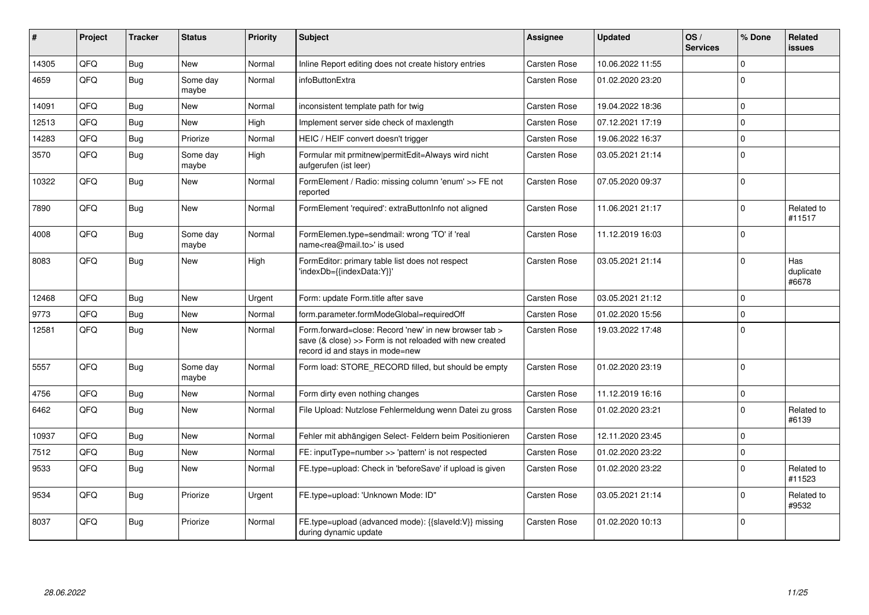| ∦     | Project | <b>Tracker</b> | <b>Status</b>     | <b>Priority</b> | <b>Subject</b>                                                                                                                                      | Assignee            | <b>Updated</b>   | OS/<br><b>Services</b> | % Done       | Related<br><b>issues</b>  |
|-------|---------|----------------|-------------------|-----------------|-----------------------------------------------------------------------------------------------------------------------------------------------------|---------------------|------------------|------------------------|--------------|---------------------------|
| 14305 | QFQ     | Bug            | <b>New</b>        | Normal          | Inline Report editing does not create history entries                                                                                               | <b>Carsten Rose</b> | 10.06.2022 11:55 |                        | $\Omega$     |                           |
| 4659  | QFQ     | Bug            | Some day<br>maybe | Normal          | infoButtonExtra                                                                                                                                     | <b>Carsten Rose</b> | 01.02.2020 23:20 |                        | $\Omega$     |                           |
| 14091 | QFQ     | Bug            | <b>New</b>        | Normal          | inconsistent template path for twig                                                                                                                 | <b>Carsten Rose</b> | 19.04.2022 18:36 |                        | $\Omega$     |                           |
| 12513 | QFQ     | Bug            | <b>New</b>        | High            | Implement server side check of maxlength                                                                                                            | <b>Carsten Rose</b> | 07.12.2021 17:19 |                        | $\mathbf{0}$ |                           |
| 14283 | QFQ     | Bug            | Priorize          | Normal          | HEIC / HEIF convert doesn't trigger                                                                                                                 | <b>Carsten Rose</b> | 19.06.2022 16:37 |                        | $\mathbf 0$  |                           |
| 3570  | QFQ     | Bug            | Some day<br>maybe | High            | Formular mit prmitnew permitEdit=Always wird nicht<br>aufgerufen (ist leer)                                                                         | <b>Carsten Rose</b> | 03.05.2021 21:14 |                        | $\Omega$     |                           |
| 10322 | QFQ     | Bug            | New               | Normal          | FormElement / Radio: missing column 'enum' >> FE not<br>reported                                                                                    | <b>Carsten Rose</b> | 07.05.2020 09:37 |                        | $\Omega$     |                           |
| 7890  | QFQ     | Bug            | <b>New</b>        | Normal          | FormElement 'required': extraButtonInfo not aligned                                                                                                 | <b>Carsten Rose</b> | 11.06.2021 21:17 |                        | $\Omega$     | Related to<br>#11517      |
| 4008  | QFQ     | Bug            | Some day<br>maybe | Normal          | FormElemen.type=sendmail: wrong 'TO' if 'real<br>name <rea@mail.to>' is used</rea@mail.to>                                                          | <b>Carsten Rose</b> | 11.12.2019 16:03 |                        | $\Omega$     |                           |
| 8083  | QFQ     | Bug            | <b>New</b>        | High            | FormEditor: primary table list does not respect<br>'indexDb={{indexData:Y}}'                                                                        | <b>Carsten Rose</b> | 03.05.2021 21:14 |                        | $\Omega$     | Has<br>duplicate<br>#6678 |
| 12468 | QFQ     | <b>Bug</b>     | New               | Urgent          | Form: update Form.title after save                                                                                                                  | <b>Carsten Rose</b> | 03.05.2021 21:12 |                        | $\Omega$     |                           |
| 9773  | QFQ     | Bug            | <b>New</b>        | Normal          | form.parameter.formModeGlobal=requiredOff                                                                                                           | <b>Carsten Rose</b> | 01.02.2020 15:56 |                        | $\Omega$     |                           |
| 12581 | QFQ     | Bug            | <b>New</b>        | Normal          | Form.forward=close: Record 'new' in new browser tab ><br>save (& close) >> Form is not reloaded with new created<br>record id and stays in mode=new | <b>Carsten Rose</b> | 19.03.2022 17:48 |                        | $\mathbf 0$  |                           |
| 5557  | QFQ     | <b>Bug</b>     | Some day<br>maybe | Normal          | Form load: STORE RECORD filled, but should be empty                                                                                                 | <b>Carsten Rose</b> | 01.02.2020 23:19 |                        | $\Omega$     |                           |
| 4756  | QFQ     | <b>Bug</b>     | <b>New</b>        | Normal          | Form dirty even nothing changes                                                                                                                     | <b>Carsten Rose</b> | 11.12.2019 16:16 |                        | $\Omega$     |                           |
| 6462  | QFQ     | Bug            | <b>New</b>        | Normal          | File Upload: Nutzlose Fehlermeldung wenn Datei zu gross                                                                                             | <b>Carsten Rose</b> | 01.02.2020 23:21 |                        | $\Omega$     | Related to<br>#6139       |
| 10937 | QFQ     | Bug            | New               | Normal          | Fehler mit abhängigen Select- Feldern beim Positionieren                                                                                            | <b>Carsten Rose</b> | 12.11.2020 23:45 |                        | $\Omega$     |                           |
| 7512  | QFQ     | Bug            | <b>New</b>        | Normal          | FE: inputType=number >> 'pattern' is not respected                                                                                                  | <b>Carsten Rose</b> | 01.02.2020 23:22 |                        | $\Omega$     |                           |
| 9533  | QFQ     | Bug            | <b>New</b>        | Normal          | FE.type=upload: Check in 'beforeSave' if upload is given                                                                                            | <b>Carsten Rose</b> | 01.02.2020 23:22 |                        | $\Omega$     | Related to<br>#11523      |
| 9534  | QFQ     | Bug            | Priorize          | Urgent          | FE.type=upload: 'Unknown Mode: ID"                                                                                                                  | <b>Carsten Rose</b> | 03.05.2021 21:14 |                        | $\Omega$     | Related to<br>#9532       |
| 8037  | QFQ     | Bug            | Priorize          | Normal          | FE.type=upload (advanced mode): {{slaveld:V}} missing<br>during dynamic update                                                                      | Carsten Rose        | 01.02.2020 10:13 |                        | $\Omega$     |                           |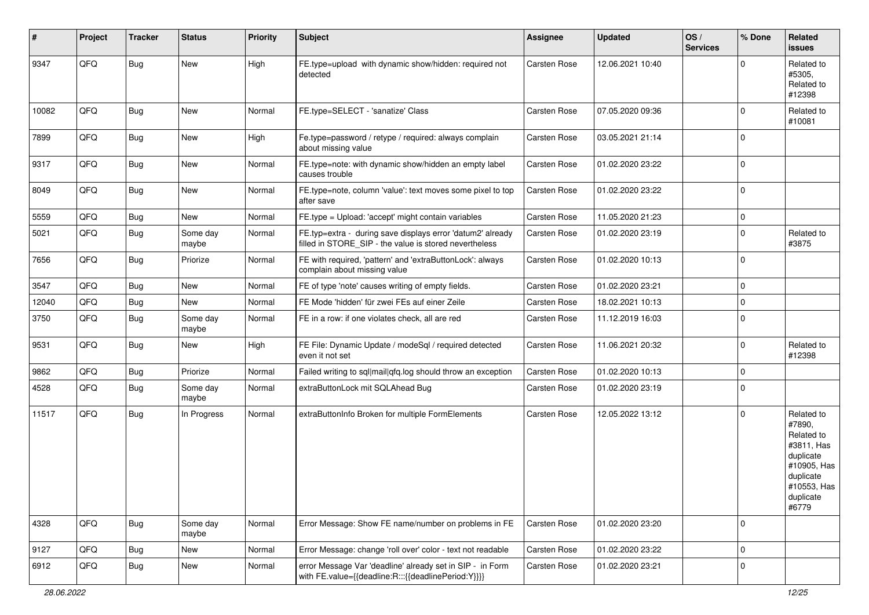| #     | Project | <b>Tracker</b> | <b>Status</b>     | <b>Priority</b> | Subject                                                                                                              | <b>Assignee</b>     | <b>Updated</b>   | OS/<br><b>Services</b> | % Done      | Related<br>issues                                                                                                              |
|-------|---------|----------------|-------------------|-----------------|----------------------------------------------------------------------------------------------------------------------|---------------------|------------------|------------------------|-------------|--------------------------------------------------------------------------------------------------------------------------------|
| 9347  | QFQ     | <b>Bug</b>     | New               | High            | FE.type=upload with dynamic show/hidden: required not<br>detected                                                    | Carsten Rose        | 12.06.2021 10:40 |                        | $\Omega$    | Related to<br>#5305,<br>Related to<br>#12398                                                                                   |
| 10082 | QFQ     | <b>Bug</b>     | New               | Normal          | FE.type=SELECT - 'sanatize' Class                                                                                    | Carsten Rose        | 07.05.2020 09:36 |                        | $\Omega$    | Related to<br>#10081                                                                                                           |
| 7899  | QFQ     | <b>Bug</b>     | New               | High            | Fe.type=password / retype / required: always complain<br>about missing value                                         | Carsten Rose        | 03.05.2021 21:14 |                        | $\Omega$    |                                                                                                                                |
| 9317  | QFQ     | Bug            | New               | Normal          | FE.type=note: with dynamic show/hidden an empty label<br>causes trouble                                              | Carsten Rose        | 01.02.2020 23:22 |                        | l 0         |                                                                                                                                |
| 8049  | QFQ     | Bug            | New               | Normal          | FE.type=note, column 'value': text moves some pixel to top<br>after save                                             | Carsten Rose        | 01.02.2020 23:22 |                        | l 0         |                                                                                                                                |
| 5559  | QFQ     | Bug            | New               | Normal          | FE.type = Upload: 'accept' might contain variables                                                                   | Carsten Rose        | 11.05.2020 21:23 |                        | 0           |                                                                                                                                |
| 5021  | QFQ     | Bug            | Some day<br>maybe | Normal          | FE.typ=extra - during save displays error 'datum2' already<br>filled in STORE SIP - the value is stored nevertheless | <b>Carsten Rose</b> | 01.02.2020 23:19 |                        | $\Omega$    | Related to<br>#3875                                                                                                            |
| 7656  | QFQ     | <b>Bug</b>     | Priorize          | Normal          | FE with required, 'pattern' and 'extraButtonLock': always<br>complain about missing value                            | Carsten Rose        | 01.02.2020 10:13 |                        | l 0         |                                                                                                                                |
| 3547  | QFQ     | Bug            | New               | Normal          | FE of type 'note' causes writing of empty fields.                                                                    | Carsten Rose        | 01.02.2020 23:21 |                        | $\mathbf 0$ |                                                                                                                                |
| 12040 | QFQ     | Bug            | New               | Normal          | FE Mode 'hidden' für zwei FEs auf einer Zeile                                                                        | <b>Carsten Rose</b> | 18.02.2021 10:13 |                        | $\mathbf 0$ |                                                                                                                                |
| 3750  | QFQ     | Bug            | Some day<br>maybe | Normal          | FE in a row: if one violates check, all are red                                                                      | Carsten Rose        | 11.12.2019 16:03 |                        | $\Omega$    |                                                                                                                                |
| 9531  | QFQ     | <b>Bug</b>     | New               | High            | FE File: Dynamic Update / modeSql / required detected<br>even it not set                                             | Carsten Rose        | 11.06.2021 20:32 |                        | $\Omega$    | Related to<br>#12398                                                                                                           |
| 9862  | QFQ     | Bug            | Priorize          | Normal          | Failed writing to sql mail qfq.log should throw an exception                                                         | Carsten Rose        | 01.02.2020 10:13 |                        | $\mathbf 0$ |                                                                                                                                |
| 4528  | QFQ     | Bug            | Some day<br>maybe | Normal          | extraButtonLock mit SQLAhead Bug                                                                                     | Carsten Rose        | 01.02.2020 23:19 |                        | l 0         |                                                                                                                                |
| 11517 | QFQ     | <b>Bug</b>     | In Progress       | Normal          | extraButtonInfo Broken for multiple FormElements                                                                     | Carsten Rose        | 12.05.2022 13:12 |                        | $\Omega$    | Related to<br>#7890,<br>Related to<br>#3811, Has<br>duplicate<br>#10905, Has<br>duplicate<br>#10553, Has<br>duplicate<br>#6779 |
| 4328  | QFQ     | <b>Bug</b>     | Some day<br>maybe | Normal          | Error Message: Show FE name/number on problems in FE                                                                 | Carsten Rose        | 01.02.2020 23:20 |                        | l O         |                                                                                                                                |
| 9127  | QFQ     | <b>Bug</b>     | New               | Normal          | Error Message: change 'roll over' color - text not readable                                                          | Carsten Rose        | 01.02.2020 23:22 |                        | $\mathbf 0$ |                                                                                                                                |
| 6912  | QFQ     | <b>Bug</b>     | New               | Normal          | error Message Var 'deadline' already set in SIP - in Form<br>with FE.value={{deadline:R:::{{deadlinePeriod:Y}}}}     | Carsten Rose        | 01.02.2020 23:21 |                        | l 0         |                                                                                                                                |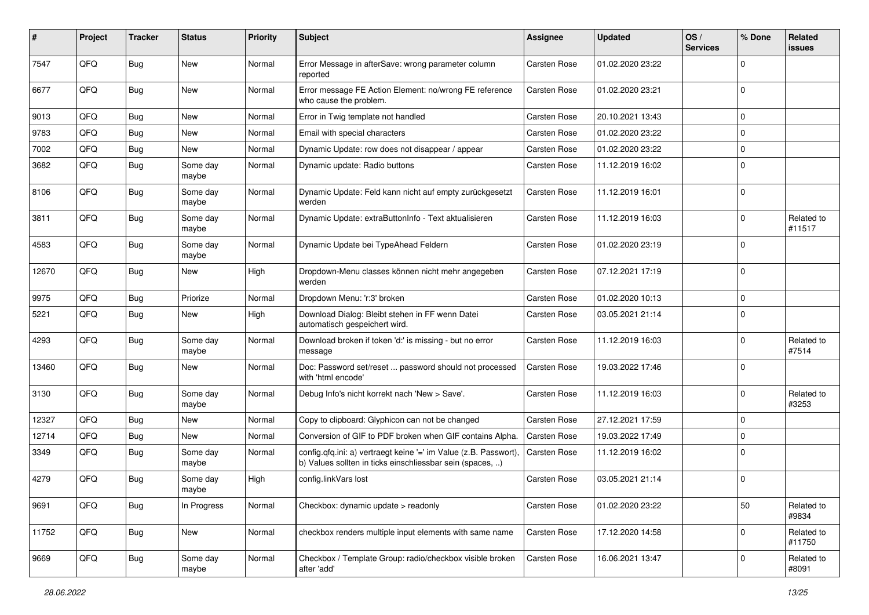| #     | Project | <b>Tracker</b> | <b>Status</b>     | Priority | Subject                                                                                                                       | <b>Assignee</b>     | <b>Updated</b>   | OS/<br><b>Services</b> | % Done         | Related<br>issues    |
|-------|---------|----------------|-------------------|----------|-------------------------------------------------------------------------------------------------------------------------------|---------------------|------------------|------------------------|----------------|----------------------|
| 7547  | QFQ     | Bug            | New               | Normal   | Error Message in afterSave: wrong parameter column<br>reported                                                                | <b>Carsten Rose</b> | 01.02.2020 23:22 |                        | $\Omega$       |                      |
| 6677  | QFQ     | <b>Bug</b>     | <b>New</b>        | Normal   | Error message FE Action Element: no/wrong FE reference<br>who cause the problem.                                              | <b>Carsten Rose</b> | 01.02.2020 23:21 |                        | $\Omega$       |                      |
| 9013  | QFQ     | Bug            | New               | Normal   | Error in Twig template not handled                                                                                            | <b>Carsten Rose</b> | 20.10.2021 13:43 |                        | $\mathbf 0$    |                      |
| 9783  | QFQ     | Bug            | <b>New</b>        | Normal   | Email with special characters                                                                                                 | Carsten Rose        | 01.02.2020 23:22 |                        | $\Omega$       |                      |
| 7002  | QFQ     | Bug            | New               | Normal   | Dynamic Update: row does not disappear / appear                                                                               | <b>Carsten Rose</b> | 01.02.2020 23:22 |                        | $\mathbf 0$    |                      |
| 3682  | QFQ     | Bug            | Some day<br>maybe | Normal   | Dynamic update: Radio buttons                                                                                                 | <b>Carsten Rose</b> | 11.12.2019 16:02 |                        | $\Omega$       |                      |
| 8106  | QFQ     | Bug            | Some day<br>maybe | Normal   | Dynamic Update: Feld kann nicht auf empty zurückgesetzt<br>werden                                                             | <b>Carsten Rose</b> | 11.12.2019 16:01 |                        | 0 I            |                      |
| 3811  | QFQ     | Bug            | Some day<br>maybe | Normal   | Dynamic Update: extraButtonInfo - Text aktualisieren                                                                          | <b>Carsten Rose</b> | 11.12.2019 16:03 |                        | $\Omega$       | Related to<br>#11517 |
| 4583  | QFQ     | <b>Bug</b>     | Some day<br>maybe | Normal   | Dynamic Update bei TypeAhead Feldern                                                                                          | <b>Carsten Rose</b> | 01.02.2020 23:19 |                        | $\Omega$       |                      |
| 12670 | QFQ     | Bug            | New               | High     | Dropdown-Menu classes können nicht mehr angegeben<br>werden                                                                   | <b>Carsten Rose</b> | 07.12.2021 17:19 |                        | $\overline{0}$ |                      |
| 9975  | QFQ     | Bug            | Priorize          | Normal   | Dropdown Menu: 'r:3' broken                                                                                                   | <b>Carsten Rose</b> | 01.02.2020 10:13 |                        | $\mathbf 0$    |                      |
| 5221  | QFQ     | Bug            | New               | High     | Download Dialog: Bleibt stehen in FF wenn Datei<br>automatisch gespeichert wird.                                              | <b>Carsten Rose</b> | 03.05.2021 21:14 |                        | $\Omega$       |                      |
| 4293  | QFQ     | Bug            | Some day<br>maybe | Normal   | Download broken if token 'd:' is missing - but no error<br>message                                                            | <b>Carsten Rose</b> | 11.12.2019 16:03 |                        | $\Omega$       | Related to<br>#7514  |
| 13460 | QFQ     | Bug            | <b>New</b>        | Normal   | Doc: Password set/reset  password should not processed<br>with 'html encode'                                                  | <b>Carsten Rose</b> | 19.03.2022 17:46 |                        | $\Omega$       |                      |
| 3130  | QFQ     | Bug            | Some day<br>maybe | Normal   | Debug Info's nicht korrekt nach 'New > Save'.                                                                                 | <b>Carsten Rose</b> | 11.12.2019 16:03 |                        | $\Omega$       | Related to<br>#3253  |
| 12327 | QFQ     | Bug            | New               | Normal   | Copy to clipboard: Glyphicon can not be changed                                                                               | <b>Carsten Rose</b> | 27.12.2021 17:59 |                        | $\Omega$       |                      |
| 12714 | QFQ     | Bug            | New               | Normal   | Conversion of GIF to PDF broken when GIF contains Alpha.                                                                      | <b>Carsten Rose</b> | 19.03.2022 17:49 |                        | $\mathbf 0$    |                      |
| 3349  | QFQ     | Bug            | Some day<br>maybe | Normal   | config.qfq.ini: a) vertraegt keine '=' im Value (z.B. Passwort),<br>b) Values sollten in ticks einschliessbar sein (spaces, ) | <b>Carsten Rose</b> | 11.12.2019 16:02 |                        | $\Omega$       |                      |
| 4279  | QFQ     | <b>Bug</b>     | Some day<br>maybe | High     | config.linkVars lost                                                                                                          | <b>Carsten Rose</b> | 03.05.2021 21:14 |                        | $\overline{0}$ |                      |
| 9691  | QFQ     | Bug            | In Progress       | Normal   | Checkbox: dynamic update > readonly                                                                                           | Carsten Rose        | 01.02.2020 23:22 |                        | 50             | Related to<br>#9834  |
| 11752 | QFQ     | Bug            | New               | Normal   | checkbox renders multiple input elements with same name                                                                       | <b>Carsten Rose</b> | 17.12.2020 14:58 |                        | 0              | Related to<br>#11750 |
| 9669  | QFQ     | Bug            | Some day<br>maybe | Normal   | Checkbox / Template Group: radio/checkbox visible broken<br>after 'add'                                                       | Carsten Rose        | 16.06.2021 13:47 |                        | 0              | Related to<br>#8091  |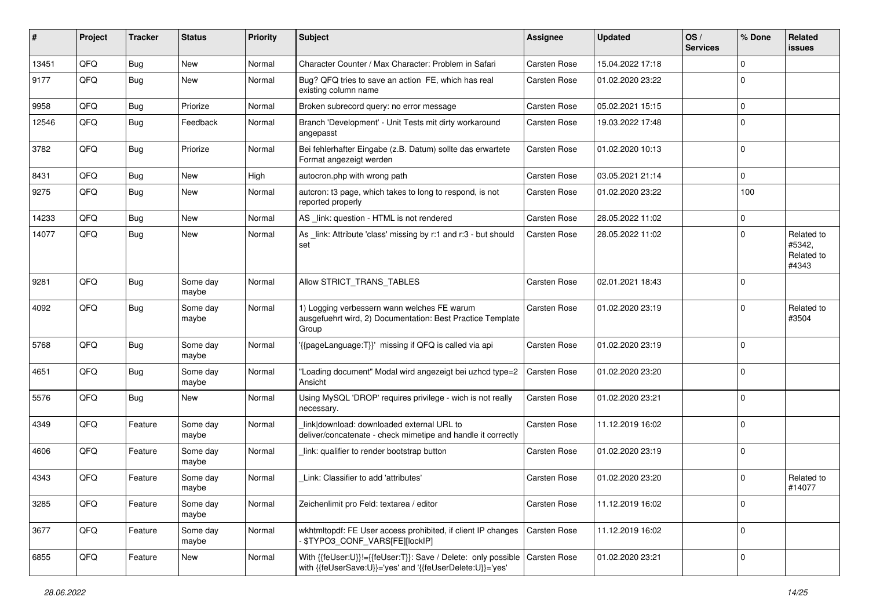| ∦     | Project | <b>Tracker</b> | <b>Status</b>     | <b>Priority</b> | Subject                                                                                                                                   | Assignee            | <b>Updated</b>   | OS/<br><b>Services</b> | % Done         | Related<br>issues                           |
|-------|---------|----------------|-------------------|-----------------|-------------------------------------------------------------------------------------------------------------------------------------------|---------------------|------------------|------------------------|----------------|---------------------------------------------|
| 13451 | QFQ     | Bug            | <b>New</b>        | Normal          | Character Counter / Max Character: Problem in Safari                                                                                      | Carsten Rose        | 15.04.2022 17:18 |                        | $\Omega$       |                                             |
| 9177  | QFQ     | Bug            | New               | Normal          | Bug? QFQ tries to save an action FE, which has real<br>existing column name                                                               | Carsten Rose        | 01.02.2020 23:22 |                        | $\Omega$       |                                             |
| 9958  | QFQ     | Bug            | Priorize          | Normal          | Broken subrecord query: no error message                                                                                                  | Carsten Rose        | 05.02.2021 15:15 |                        | 0              |                                             |
| 12546 | QFQ     | Bug            | Feedback          | Normal          | Branch 'Development' - Unit Tests mit dirty workaround<br>angepasst                                                                       | Carsten Rose        | 19.03.2022 17:48 |                        | $\Omega$       |                                             |
| 3782  | QFQ     | Bug            | Priorize          | Normal          | Bei fehlerhafter Eingabe (z.B. Datum) sollte das erwartete<br>Format angezeigt werden                                                     | Carsten Rose        | 01.02.2020 10:13 |                        | 0              |                                             |
| 8431  | QFQ     | Bug            | <b>New</b>        | High            | autocron.php with wrong path                                                                                                              | Carsten Rose        | 03.05.2021 21:14 |                        | $\Omega$       |                                             |
| 9275  | QFQ     | Bug            | New               | Normal          | autcron: t3 page, which takes to long to respond, is not<br>reported properly                                                             | Carsten Rose        | 01.02.2020 23:22 |                        | 100            |                                             |
| 14233 | QFQ     | Bug            | New               | Normal          | AS _link: question - HTML is not rendered                                                                                                 | Carsten Rose        | 28.05.2022 11:02 |                        | $\mathbf 0$    |                                             |
| 14077 | QFQ     | Bug            | New               | Normal          | As _link: Attribute 'class' missing by r:1 and r:3 - but should<br>set                                                                    | <b>Carsten Rose</b> | 28.05.2022 11:02 |                        | $\Omega$       | Related to<br>#5342,<br>Related to<br>#4343 |
| 9281  | QFQ     | <b>Bug</b>     | Some day<br>maybe | Normal          | Allow STRICT_TRANS_TABLES                                                                                                                 | Carsten Rose        | 02.01.2021 18:43 |                        | $\overline{0}$ |                                             |
| 4092  | QFQ     | Bug            | Some day<br>maybe | Normal          | 1) Logging verbessern wann welches FE warum<br>ausgefuehrt wird, 2) Documentation: Best Practice Template<br>Group                        | Carsten Rose        | 01.02.2020 23:19 |                        | $\Omega$       | Related to<br>#3504                         |
| 5768  | QFQ     | Bug            | Some day<br>maybe | Normal          | '{{pageLanguage:T}}' missing if QFQ is called via api                                                                                     | Carsten Rose        | 01.02.2020 23:19 |                        | $\Omega$       |                                             |
| 4651  | QFQ     | Bug            | Some day<br>maybe | Normal          | "Loading document" Modal wird angezeigt bei uzhcd type=2<br>Ansicht                                                                       | Carsten Rose        | 01.02.2020 23:20 |                        | 0              |                                             |
| 5576  | QFQ     | Bug            | <b>New</b>        | Normal          | Using MySQL 'DROP' requires privilege - wich is not really<br>necessary.                                                                  | Carsten Rose        | 01.02.2020 23:21 |                        | $\mathbf 0$    |                                             |
| 4349  | QFQ     | Feature        | Some day<br>maybe | Normal          | link download: downloaded external URL to<br>deliver/concatenate - check mimetipe and handle it correctly                                 | Carsten Rose        | 11.12.2019 16:02 |                        | $\mathbf 0$    |                                             |
| 4606  | QFQ     | Feature        | Some day<br>maybe | Normal          | link: qualifier to render bootstrap button                                                                                                | Carsten Rose        | 01.02.2020 23:19 |                        | $\Omega$       |                                             |
| 4343  | QFQ     | Feature        | Some day<br>maybe | Normal          | Link: Classifier to add 'attributes'                                                                                                      | Carsten Rose        | 01.02.2020 23:20 |                        | $\Omega$       | Related to<br>#14077                        |
| 3285  | QFQ     | Feature        | Some day<br>maybe | Normal          | Zeichenlimit pro Feld: textarea / editor                                                                                                  | Carsten Rose        | 11.12.2019 16:02 |                        | 0              |                                             |
| 3677  | QFG     | Feature        | Some day<br>maybe | Normal          | wkhtmltopdf: FE User access prohibited, if client IP changes<br>\$TYPO3_CONF_VARS[FE][lockIP]                                             | Carsten Rose        | 11.12.2019 16:02 |                        | $\mathbf 0$    |                                             |
| 6855  | QFQ     | Feature        | New               | Normal          | With {{feUser:U}}!={{feUser:T}}: Save / Delete: only possible   Carsten Rose<br>with {{feUserSave:U}}='yes' and '{{feUserDelete:U}}='yes' |                     | 01.02.2020 23:21 |                        | $\mathbf 0$    |                                             |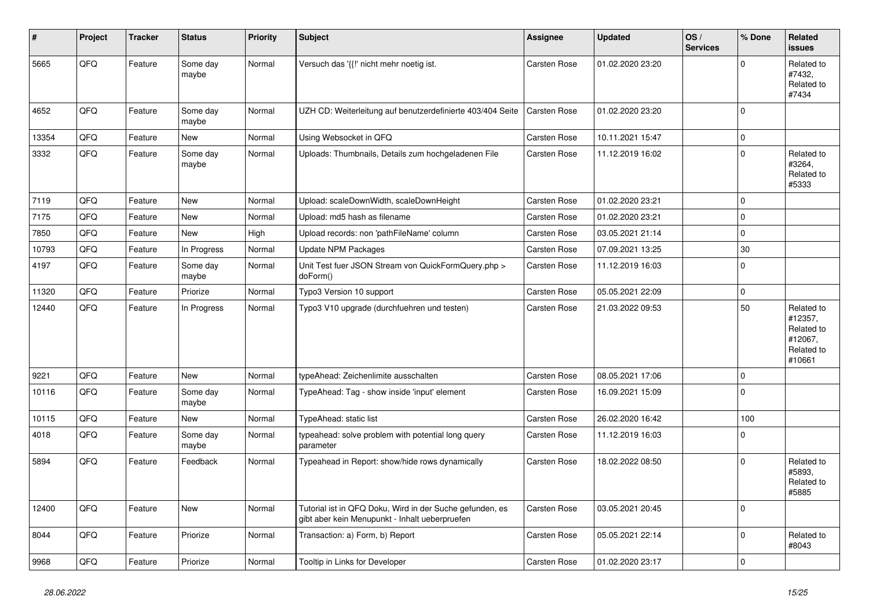| ∦     | Project | <b>Tracker</b> | <b>Status</b>     | <b>Priority</b> | Subject                                                                                                    | Assignee     | <b>Updated</b>   | OS/<br><b>Services</b> | % Done      | Related<br>issues                                                      |
|-------|---------|----------------|-------------------|-----------------|------------------------------------------------------------------------------------------------------------|--------------|------------------|------------------------|-------------|------------------------------------------------------------------------|
| 5665  | QFQ     | Feature        | Some day<br>maybe | Normal          | Versuch das '{{!' nicht mehr noetig ist.                                                                   | Carsten Rose | 01.02.2020 23:20 |                        | $\Omega$    | Related to<br>#7432,<br>Related to<br>#7434                            |
| 4652  | QFQ     | Feature        | Some day<br>maybe | Normal          | UZH CD: Weiterleitung auf benutzerdefinierte 403/404 Seite                                                 | Carsten Rose | 01.02.2020 23:20 |                        | $\mathbf 0$ |                                                                        |
| 13354 | QFQ     | Feature        | New               | Normal          | Using Websocket in QFQ                                                                                     | Carsten Rose | 10.11.2021 15:47 |                        | $\mathbf 0$ |                                                                        |
| 3332  | QFQ     | Feature        | Some day<br>maybe | Normal          | Uploads: Thumbnails, Details zum hochgeladenen File                                                        | Carsten Rose | 11.12.2019 16:02 |                        | $\mathbf 0$ | Related to<br>#3264,<br>Related to<br>#5333                            |
| 7119  | QFQ     | Feature        | <b>New</b>        | Normal          | Upload: scaleDownWidth, scaleDownHeight                                                                    | Carsten Rose | 01.02.2020 23:21 |                        | $\mathbf 0$ |                                                                        |
| 7175  | QFQ     | Feature        | <b>New</b>        | Normal          | Upload: md5 hash as filename                                                                               | Carsten Rose | 01.02.2020 23:21 |                        | $\mathbf 0$ |                                                                        |
| 7850  | QFQ     | Feature        | New               | High            | Upload records: non 'pathFileName' column                                                                  | Carsten Rose | 03.05.2021 21:14 |                        | $\mathbf 0$ |                                                                        |
| 10793 | QFQ     | Feature        | In Progress       | Normal          | <b>Update NPM Packages</b>                                                                                 | Carsten Rose | 07.09.2021 13:25 |                        | 30          |                                                                        |
| 4197  | QFQ     | Feature        | Some day<br>maybe | Normal          | Unit Test fuer JSON Stream von QuickFormQuery.php ><br>doForm()                                            | Carsten Rose | 11.12.2019 16:03 |                        | $\mathbf 0$ |                                                                        |
| 11320 | QFQ     | Feature        | Priorize          | Normal          | Typo3 Version 10 support                                                                                   | Carsten Rose | 05.05.2021 22:09 |                        | $\pmb{0}$   |                                                                        |
| 12440 | QFQ     | Feature        | In Progress       | Normal          | Typo3 V10 upgrade (durchfuehren und testen)                                                                | Carsten Rose | 21.03.2022 09:53 |                        | 50          | Related to<br>#12357,<br>Related to<br>#12067,<br>Related to<br>#10661 |
| 9221  | QFQ     | Feature        | <b>New</b>        | Normal          | typeAhead: Zeichenlimite ausschalten                                                                       | Carsten Rose | 08.05.2021 17:06 |                        | $\mathbf 0$ |                                                                        |
| 10116 | QFQ     | Feature        | Some day<br>maybe | Normal          | TypeAhead: Tag - show inside 'input' element                                                               | Carsten Rose | 16.09.2021 15:09 |                        | $\mathbf 0$ |                                                                        |
| 10115 | QFQ     | Feature        | New               | Normal          | TypeAhead: static list                                                                                     | Carsten Rose | 26.02.2020 16:42 |                        | 100         |                                                                        |
| 4018  | QFQ     | Feature        | Some day<br>maybe | Normal          | typeahead: solve problem with potential long query<br>parameter                                            | Carsten Rose | 11.12.2019 16:03 |                        | $\mathbf 0$ |                                                                        |
| 5894  | QFQ     | Feature        | Feedback          | Normal          | Typeahead in Report: show/hide rows dynamically                                                            | Carsten Rose | 18.02.2022 08:50 |                        | $\Omega$    | Related to<br>#5893.<br>Related to<br>#5885                            |
| 12400 | QFQ     | Feature        | New               | Normal          | Tutorial ist in QFQ Doku, Wird in der Suche gefunden, es<br>gibt aber kein Menupunkt - Inhalt ueberpruefen | Carsten Rose | 03.05.2021 20:45 |                        | $\mathbf 0$ |                                                                        |
| 8044  | QFQ     | Feature        | Priorize          | Normal          | Transaction: a) Form, b) Report                                                                            | Carsten Rose | 05.05.2021 22:14 |                        | $\Omega$    | Related to<br>#8043                                                    |
| 9968  | QFQ     | Feature        | Priorize          | Normal          | Tooltip in Links for Developer                                                                             | Carsten Rose | 01.02.2020 23:17 |                        | $\mathbf 0$ |                                                                        |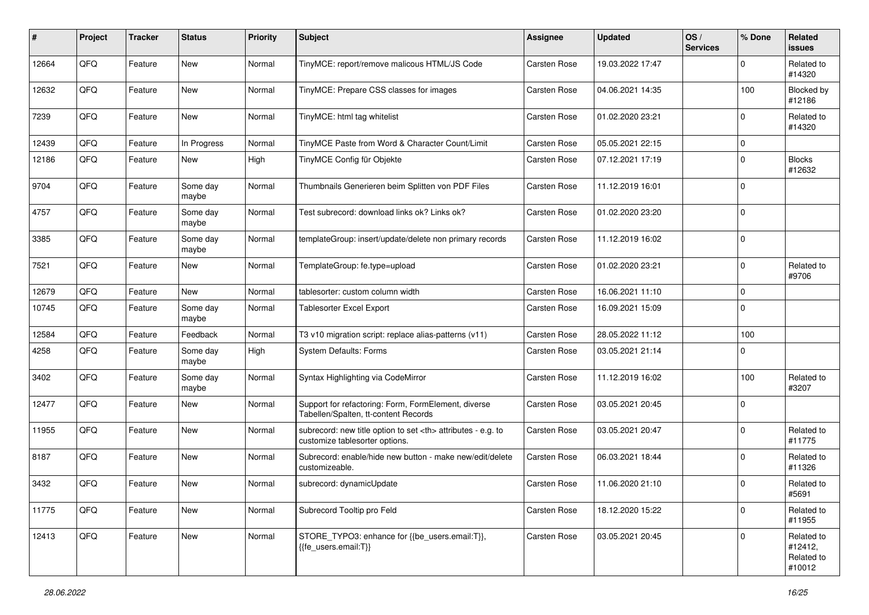| #     | Project | <b>Tracker</b> | <b>Status</b>     | <b>Priority</b> | Subject                                                                                              | <b>Assignee</b>                                        | <b>Updated</b>   | OS/<br><b>Services</b> | % Done      | Related<br>issues                             |                      |
|-------|---------|----------------|-------------------|-----------------|------------------------------------------------------------------------------------------------------|--------------------------------------------------------|------------------|------------------------|-------------|-----------------------------------------------|----------------------|
| 12664 | QFQ     | Feature        | New               | Normal          | TinyMCE: report/remove malicous HTML/JS Code                                                         | Carsten Rose                                           | 19.03.2022 17:47 |                        | $\Omega$    | Related to<br>#14320                          |                      |
| 12632 | QFQ     | Feature        | New               | Normal          | TinyMCE: Prepare CSS classes for images                                                              | Carsten Rose                                           | 04.06.2021 14:35 |                        | 100         | Blocked by<br>#12186                          |                      |
| 7239  | QFQ     | Feature        | <b>New</b>        | Normal          | TinyMCE: html tag whitelist                                                                          | Carsten Rose                                           | 01.02.2020 23:21 |                        | $\Omega$    | Related to<br>#14320                          |                      |
| 12439 | QFQ     | Feature        | In Progress       | Normal          | TinyMCE Paste from Word & Character Count/Limit                                                      | Carsten Rose                                           | 05.05.2021 22:15 |                        | 0           |                                               |                      |
| 12186 | QFQ     | Feature        | <b>New</b>        | High            | TinyMCE Config für Objekte                                                                           | Carsten Rose                                           | 07.12.2021 17:19 |                        | $\Omega$    | <b>Blocks</b><br>#12632                       |                      |
| 9704  | QFQ     | Feature        | Some day<br>maybe | Normal          | Thumbnails Generieren beim Splitten von PDF Files                                                    | Carsten Rose                                           | 11.12.2019 16:01 |                        | $\mathbf 0$ |                                               |                      |
| 4757  | QFQ     | Feature        | Some day<br>maybe | Normal          | Test subrecord: download links ok? Links ok?                                                         | Carsten Rose                                           | 01.02.2020 23:20 |                        | 0           |                                               |                      |
| 3385  | QFQ     | Feature        | Some day<br>maybe | Normal          | templateGroup: insert/update/delete non primary records                                              | Carsten Rose                                           | 11.12.2019 16:02 |                        | 0           |                                               |                      |
| 7521  | QFQ     | Feature        | New               | Normal          | TemplateGroup: fe.type=upload                                                                        | Carsten Rose                                           | 01.02.2020 23:21 |                        | $\mathbf 0$ | Related to<br>#9706                           |                      |
| 12679 | QFQ     | Feature        | New               | Normal          | tablesorter: custom column width                                                                     | Carsten Rose                                           | 16.06.2021 11:10 |                        | 0           |                                               |                      |
| 10745 | QFQ     | Feature        | Some day<br>maybe | Normal          | <b>Tablesorter Excel Export</b>                                                                      | Carsten Rose                                           | 16.09.2021 15:09 |                        | $\mathbf 0$ |                                               |                      |
| 12584 | QFQ     | Feature        | Feedback          | Normal          | T3 v10 migration script: replace alias-patterns (v11)                                                | Carsten Rose                                           | 28.05.2022 11:12 |                        | 100         |                                               |                      |
| 4258  | QFQ     | Feature        | Some day<br>maybe | High            | <b>System Defaults: Forms</b>                                                                        | Carsten Rose                                           | 03.05.2021 21:14 |                        | $\mathbf 0$ |                                               |                      |
| 3402  | QFQ     | Feature        | Some day<br>maybe | Normal          | Syntax Highlighting via CodeMirror                                                                   | Carsten Rose                                           | 11.12.2019 16:02 |                        | 100         | Related to<br>#3207                           |                      |
| 12477 | QFQ     | Feature        | New               | Normal          | Support for refactoring: Form, FormElement, diverse<br>Tabellen/Spalten, tt-content Records          | Carsten Rose                                           | 03.05.2021 20:45 |                        | $\mathbf 0$ |                                               |                      |
| 11955 | QFQ     | Feature        | <b>New</b>        | Normal          | subrecord: new title option to set <th> attributes - e.g. to<br/>customize tablesorter options.</th> | attributes - e.g. to<br>customize tablesorter options. | Carsten Rose     | 03.05.2021 20:47       |             | $\Omega$                                      | Related to<br>#11775 |
| 8187  | QFQ     | Feature        | <b>New</b>        | Normal          | Subrecord: enable/hide new button - make new/edit/delete<br>customizeable.                           | Carsten Rose                                           | 06.03.2021 18:44 |                        | $\Omega$    | Related to<br>#11326                          |                      |
| 3432  | QFQ     | Feature        | New               | Normal          | subrecord: dynamicUpdate                                                                             | Carsten Rose                                           | 11.06.2020 21:10 |                        | $\mathbf 0$ | Related to<br>#5691                           |                      |
| 11775 | QFG     | Feature        | New               | Normal          | Subrecord Tooltip pro Feld                                                                           | Carsten Rose                                           | 18.12.2020 15:22 |                        | 0           | Related to<br>#11955                          |                      |
| 12413 | QFQ     | Feature        | New               | Normal          | STORE_TYPO3: enhance for {{be_users.email:T}},<br>{{fe_users.email:T}}                               | Carsten Rose                                           | 03.05.2021 20:45 |                        | $\mathbf 0$ | Related to<br>#12412,<br>Related to<br>#10012 |                      |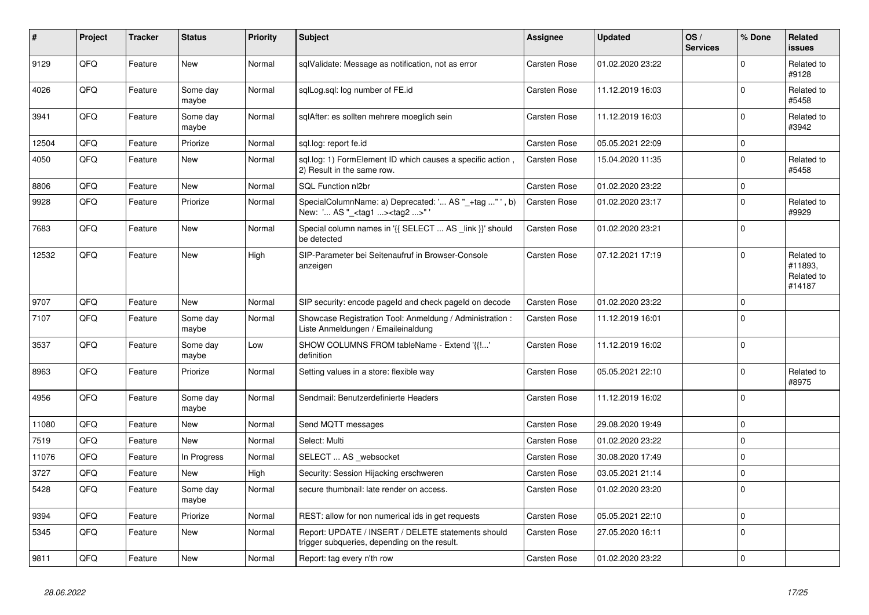| $\pmb{\#}$ | Project | <b>Tracker</b> | <b>Status</b>     | <b>Priority</b> | <b>Subject</b>                                                                                      | Assignee            | <b>Updated</b>   | OS/<br><b>Services</b> | % Done         | Related<br><b>issues</b>                      |
|------------|---------|----------------|-------------------|-----------------|-----------------------------------------------------------------------------------------------------|---------------------|------------------|------------------------|----------------|-----------------------------------------------|
| 9129       | QFQ     | Feature        | New               | Normal          | sqlValidate: Message as notification, not as error                                                  | Carsten Rose        | 01.02.2020 23:22 |                        | $\overline{0}$ | Related to<br>#9128                           |
| 4026       | QFQ     | Feature        | Some day<br>maybe | Normal          | sqlLog.sql: log number of FE.id                                                                     | Carsten Rose        | 11.12.2019 16:03 |                        | $\Omega$       | Related to<br>#5458                           |
| 3941       | QFQ     | Feature        | Some day<br>maybe | Normal          | sglAfter: es sollten mehrere moeglich sein                                                          | Carsten Rose        | 11.12.2019 16:03 |                        | $\Omega$       | Related to<br>#3942                           |
| 12504      | QFQ     | Feature        | Priorize          | Normal          | sql.log: report fe.id                                                                               | Carsten Rose        | 05.05.2021 22:09 |                        | $\mathbf 0$    |                                               |
| 4050       | QFQ     | Feature        | <b>New</b>        | Normal          | sql.log: 1) FormElement ID which causes a specific action,<br>2) Result in the same row.            | Carsten Rose        | 15.04.2020 11:35 |                        | $\Omega$       | Related to<br>#5458                           |
| 8806       | QFQ     | Feature        | <b>New</b>        | Normal          | SQL Function nl2br                                                                                  | <b>Carsten Rose</b> | 01.02.2020 23:22 |                        | $\Omega$       |                                               |
| 9928       | QFQ     | Feature        | Priorize          | Normal          | SpecialColumnName: a) Deprecated: ' AS "_+tag " ', b)<br>New: ' AS "_ <tag1><tag2>" '</tag2></tag1> | Carsten Rose        | 01.02.2020 23:17 |                        | $\Omega$       | Related to<br>#9929                           |
| 7683       | QFQ     | Feature        | New               | Normal          | Special column names in '{{ SELECT  AS _link }}' should<br>be detected                              | Carsten Rose        | 01.02.2020 23:21 |                        | $\Omega$       |                                               |
| 12532      | QFQ     | Feature        | New               | High            | SIP-Parameter bei Seitenaufruf in Browser-Console<br>anzeigen                                       | Carsten Rose        | 07.12.2021 17:19 |                        | $\mathbf 0$    | Related to<br>#11893,<br>Related to<br>#14187 |
| 9707       | QFQ     | Feature        | New               | Normal          | SIP security: encode pageld and check pageld on decode                                              | Carsten Rose        | 01.02.2020 23:22 |                        | 0              |                                               |
| 7107       | QFQ     | Feature        | Some day<br>maybe | Normal          | Showcase Registration Tool: Anmeldung / Administration :<br>Liste Anmeldungen / Emaileinaldung      | Carsten Rose        | 11.12.2019 16:01 |                        | $\Omega$       |                                               |
| 3537       | QFQ     | Feature        | Some day<br>maybe | Low             | SHOW COLUMNS FROM tableName - Extend '{{!'<br>definition                                            | Carsten Rose        | 11.12.2019 16:02 |                        | $\mathbf 0$    |                                               |
| 8963       | QFQ     | Feature        | Priorize          | Normal          | Setting values in a store: flexible way                                                             | Carsten Rose        | 05.05.2021 22:10 |                        | $\mathbf 0$    | Related to<br>#8975                           |
| 4956       | QFQ     | Feature        | Some day<br>maybe | Normal          | Sendmail: Benutzerdefinierte Headers                                                                | Carsten Rose        | 11.12.2019 16:02 |                        | 0              |                                               |
| 11080      | QFQ     | Feature        | New               | Normal          | Send MQTT messages                                                                                  | Carsten Rose        | 29.08.2020 19:49 |                        | $\mathbf 0$    |                                               |
| 7519       | QFQ     | Feature        | New               | Normal          | Select: Multi                                                                                       | Carsten Rose        | 01.02.2020 23:22 |                        | $\mathbf 0$    |                                               |
| 11076      | QFQ     | Feature        | In Progress       | Normal          | SELECT  AS _websocket                                                                               | Carsten Rose        | 30.08.2020 17:49 |                        | $\Omega$       |                                               |
| 3727       | QFQ     | Feature        | <b>New</b>        | High            | Security: Session Hijacking erschweren                                                              | Carsten Rose        | 03.05.2021 21:14 |                        | 0              |                                               |
| 5428       | QFQ     | Feature        | Some day<br>maybe | Normal          | secure thumbnail: late render on access.                                                            | Carsten Rose        | 01.02.2020 23:20 |                        | $\Omega$       |                                               |
| 9394       | QFQ     | Feature        | Priorize          | Normal          | REST: allow for non numerical ids in get requests                                                   | Carsten Rose        | 05.05.2021 22:10 |                        | $\mathbf 0$    |                                               |
| 5345       | QFQ     | Feature        | New               | Normal          | Report: UPDATE / INSERT / DELETE statements should<br>trigger subqueries, depending on the result.  | Carsten Rose        | 27.05.2020 16:11 |                        | $\mathbf 0$    |                                               |
| 9811       | QFQ     | Feature        | New               | Normal          | Report: tag every n'th row                                                                          | Carsten Rose        | 01.02.2020 23:22 |                        | 0              |                                               |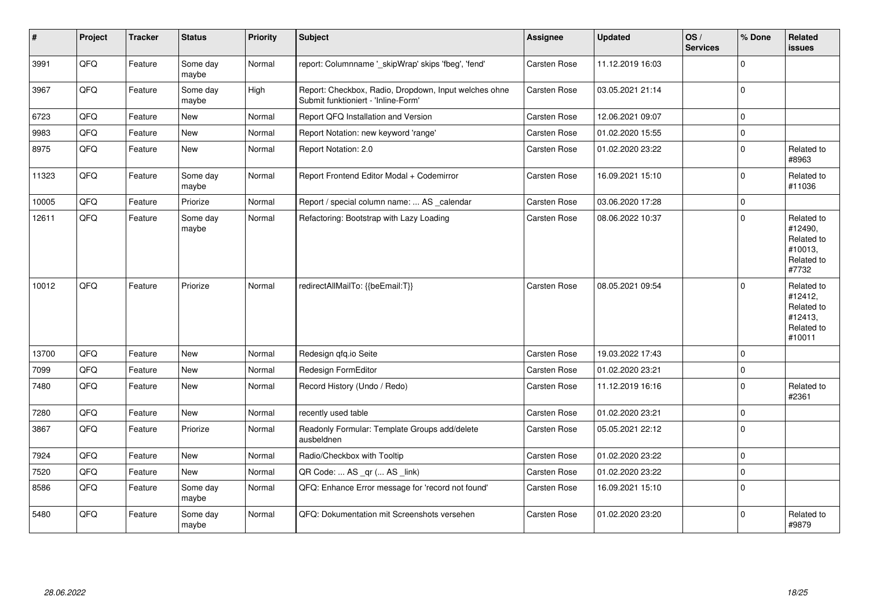| $\pmb{\#}$ | Project | <b>Tracker</b> | <b>Status</b>     | Priority | Subject                                                                                      | <b>Assignee</b> | Updated          | OS/<br><b>Services</b> | % Done      | <b>Related</b><br><b>issues</b>                                        |
|------------|---------|----------------|-------------------|----------|----------------------------------------------------------------------------------------------|-----------------|------------------|------------------------|-------------|------------------------------------------------------------------------|
| 3991       | QFQ     | Feature        | Some day<br>maybe | Normal   | report: Columnname '_skipWrap' skips 'fbeg', 'fend'                                          | Carsten Rose    | 11.12.2019 16:03 |                        | $\mathbf 0$ |                                                                        |
| 3967       | QFQ     | Feature        | Some day<br>maybe | High     | Report: Checkbox, Radio, Dropdown, Input welches ohne<br>Submit funktioniert - 'Inline-Form' | Carsten Rose    | 03.05.2021 21:14 |                        | $\Omega$    |                                                                        |
| 6723       | QFQ     | Feature        | New               | Normal   | Report QFQ Installation and Version                                                          | Carsten Rose    | 12.06.2021 09:07 |                        | $\Omega$    |                                                                        |
| 9983       | QFQ     | Feature        | New               | Normal   | Report Notation: new keyword 'range'                                                         | Carsten Rose    | 01.02.2020 15:55 |                        | $\mathbf 0$ |                                                                        |
| 8975       | QFQ     | Feature        | <b>New</b>        | Normal   | Report Notation: 2.0                                                                         | Carsten Rose    | 01.02.2020 23:22 |                        | $\mathbf 0$ | Related to<br>#8963                                                    |
| 11323      | QFQ     | Feature        | Some day<br>maybe | Normal   | Report Frontend Editor Modal + Codemirror                                                    | Carsten Rose    | 16.09.2021 15:10 |                        | $\mathbf 0$ | Related to<br>#11036                                                   |
| 10005      | QFQ     | Feature        | Priorize          | Normal   | Report / special column name:  AS _calendar                                                  | Carsten Rose    | 03.06.2020 17:28 |                        | $\mathbf 0$ |                                                                        |
| 12611      | QFQ     | Feature        | Some day<br>maybe | Normal   | Refactoring: Bootstrap with Lazy Loading                                                     | Carsten Rose    | 08.06.2022 10:37 |                        | $\mathbf 0$ | Related to<br>#12490,<br>Related to<br>#10013,<br>Related to<br>#7732  |
| 10012      | QFQ     | Feature        | Priorize          | Normal   | redirectAllMailTo: {{beEmail:T}}                                                             | Carsten Rose    | 08.05.2021 09:54 |                        | $\Omega$    | Related to<br>#12412,<br>Related to<br>#12413,<br>Related to<br>#10011 |
| 13700      | QFQ     | Feature        | New               | Normal   | Redesign gfg.io Seite                                                                        | Carsten Rose    | 19.03.2022 17:43 |                        | $\mathbf 0$ |                                                                        |
| 7099       | QFQ     | Feature        | <b>New</b>        | Normal   | Redesign FormEditor                                                                          | Carsten Rose    | 01.02.2020 23:21 |                        | $\Omega$    |                                                                        |
| 7480       | QFQ     | Feature        | New               | Normal   | Record History (Undo / Redo)                                                                 | Carsten Rose    | 11.12.2019 16:16 |                        | $\mathbf 0$ | Related to<br>#2361                                                    |
| 7280       | QFQ     | Feature        | <b>New</b>        | Normal   | recently used table                                                                          | Carsten Rose    | 01.02.2020 23:21 |                        | $\mathbf 0$ |                                                                        |
| 3867       | QFQ     | Feature        | Priorize          | Normal   | Readonly Formular: Template Groups add/delete<br>ausbeldnen                                  | Carsten Rose    | 05.05.2021 22:12 |                        | $\Omega$    |                                                                        |
| 7924       | QFQ     | Feature        | New               | Normal   | Radio/Checkbox with Tooltip                                                                  | Carsten Rose    | 01.02.2020 23:22 |                        | $\mathbf 0$ |                                                                        |
| 7520       | QFQ     | Feature        | New               | Normal   | QR Code:  AS _qr ( AS _link)                                                                 | Carsten Rose    | 01.02.2020 23:22 |                        | $\mathbf 0$ |                                                                        |
| 8586       | QFQ     | Feature        | Some day<br>maybe | Normal   | QFQ: Enhance Error message for 'record not found'                                            | Carsten Rose    | 16.09.2021 15:10 |                        | $\mathbf 0$ |                                                                        |
| 5480       | QFQ     | Feature        | Some day<br>maybe | Normal   | QFQ: Dokumentation mit Screenshots versehen                                                  | Carsten Rose    | 01.02.2020 23:20 |                        | $\mathbf 0$ | Related to<br>#9879                                                    |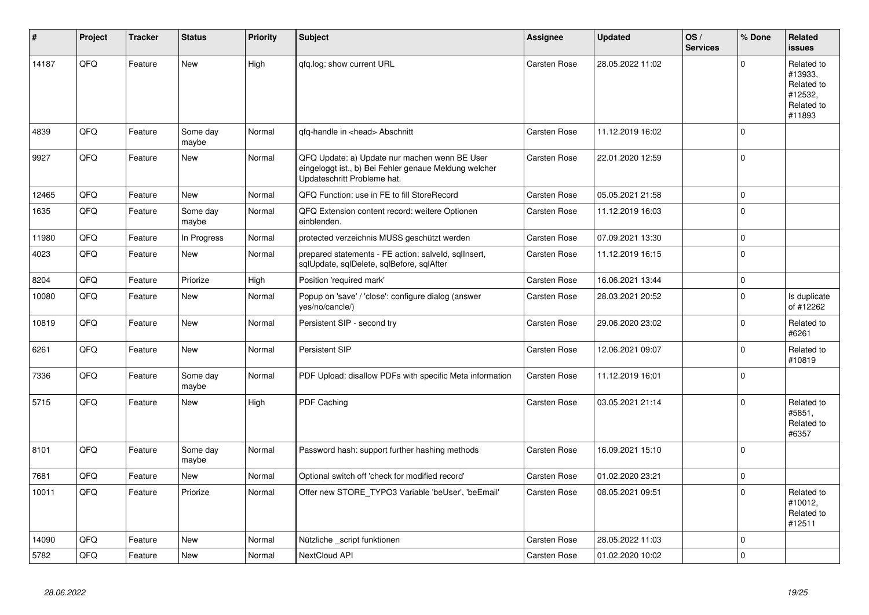| #     | Project | <b>Tracker</b> | <b>Status</b>     | <b>Priority</b> | <b>Subject</b>                                                                                                                        | Assignee            | <b>Updated</b>   | OS/<br><b>Services</b> | % Done      | Related<br><b>issues</b>                                               |
|-------|---------|----------------|-------------------|-----------------|---------------------------------------------------------------------------------------------------------------------------------------|---------------------|------------------|------------------------|-------------|------------------------------------------------------------------------|
| 14187 | QFQ     | Feature        | <b>New</b>        | High            | qfq.log: show current URL                                                                                                             | <b>Carsten Rose</b> | 28.05.2022 11:02 |                        | $\Omega$    | Related to<br>#13933.<br>Related to<br>#12532,<br>Related to<br>#11893 |
| 4839  | QFQ     | Feature        | Some day<br>maybe | Normal          | qfq-handle in <head> Abschnitt</head>                                                                                                 | <b>Carsten Rose</b> | 11.12.2019 16:02 |                        | $\Omega$    |                                                                        |
| 9927  | QFQ     | Feature        | <b>New</b>        | Normal          | QFQ Update: a) Update nur machen wenn BE User<br>eingeloggt ist., b) Bei Fehler genaue Meldung welcher<br>Updateschritt Probleme hat. | Carsten Rose        | 22.01.2020 12:59 |                        | $\Omega$    |                                                                        |
| 12465 | QFQ     | Feature        | <b>New</b>        | Normal          | QFQ Function: use in FE to fill StoreRecord                                                                                           | Carsten Rose        | 05.05.2021 21:58 |                        | $\Omega$    |                                                                        |
| 1635  | QFQ     | Feature        | Some day<br>maybe | Normal          | QFQ Extension content record: weitere Optionen<br>einblenden.                                                                         | Carsten Rose        | 11.12.2019 16:03 |                        | $\Omega$    |                                                                        |
| 11980 | QFQ     | Feature        | In Progress       | Normal          | protected verzeichnis MUSS geschützt werden                                                                                           | <b>Carsten Rose</b> | 07.09.2021 13:30 |                        | $\Omega$    |                                                                        |
| 4023  | QFQ     | Feature        | <b>New</b>        | Normal          | prepared statements - FE action: salveld, sqllnsert,<br>sqlUpdate, sqlDelete, sqlBefore, sqlAfter                                     | <b>Carsten Rose</b> | 11.12.2019 16:15 |                        | $\Omega$    |                                                                        |
| 8204  | QFQ     | Feature        | Priorize          | High            | Position 'required mark'                                                                                                              | <b>Carsten Rose</b> | 16.06.2021 13:44 |                        | $\mathbf 0$ |                                                                        |
| 10080 | QFQ     | Feature        | <b>New</b>        | Normal          | Popup on 'save' / 'close': configure dialog (answer<br>yes/no/cancle/)                                                                | Carsten Rose        | 28.03.2021 20:52 |                        | $\Omega$    | Is duplicate<br>of #12262                                              |
| 10819 | QFQ     | Feature        | <b>New</b>        | Normal          | Persistent SIP - second try                                                                                                           | Carsten Rose        | 29.06.2020 23:02 |                        | $\Omega$    | Related to<br>#6261                                                    |
| 6261  | QFQ     | Feature        | <b>New</b>        | Normal          | Persistent SIP                                                                                                                        | Carsten Rose        | 12.06.2021 09:07 |                        | $\Omega$    | Related to<br>#10819                                                   |
| 7336  | QFQ     | Feature        | Some day<br>maybe | Normal          | PDF Upload: disallow PDFs with specific Meta information                                                                              | Carsten Rose        | 11.12.2019 16:01 |                        | $\Omega$    |                                                                        |
| 5715  | QFQ     | Feature        | <b>New</b>        | High            | PDF Caching                                                                                                                           | <b>Carsten Rose</b> | 03.05.2021 21:14 |                        | $\Omega$    | Related to<br>#5851,<br>Related to<br>#6357                            |
| 8101  | QFQ     | Feature        | Some day<br>maybe | Normal          | Password hash: support further hashing methods                                                                                        | <b>Carsten Rose</b> | 16.09.2021 15:10 |                        | $\Omega$    |                                                                        |
| 7681  | QFQ     | Feature        | <b>New</b>        | Normal          | Optional switch off 'check for modified record'                                                                                       | Carsten Rose        | 01.02.2020 23:21 |                        | $\Omega$    |                                                                        |
| 10011 | QFQ     | Feature        | Priorize          | Normal          | Offer new STORE TYPO3 Variable 'beUser', 'beEmail'                                                                                    | Carsten Rose        | 08.05.2021 09:51 |                        | $\Omega$    | Related to<br>#10012,<br>Related to<br>#12511                          |
| 14090 | QFQ     | Feature        | <b>New</b>        | Normal          | Nützliche _script funktionen                                                                                                          | <b>Carsten Rose</b> | 28.05.2022 11:03 |                        | $\mathbf 0$ |                                                                        |
| 5782  | QFQ     | Feature        | New               | Normal          | NextCloud API                                                                                                                         | Carsten Rose        | 01.02.2020 10:02 |                        | $\Omega$    |                                                                        |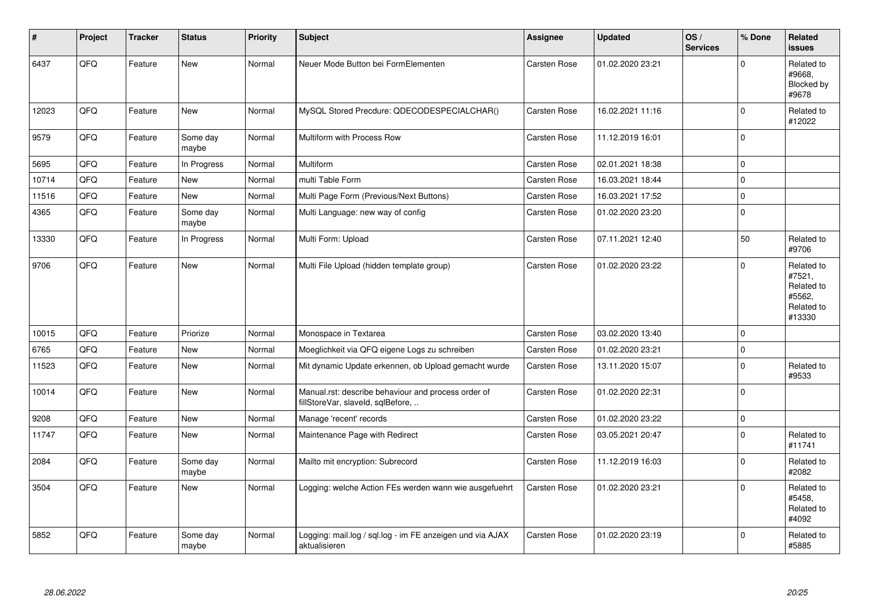| #     | Project | <b>Tracker</b> | <b>Status</b>     | <b>Priority</b> | <b>Subject</b>                                                                           | <b>Assignee</b> | <b>Updated</b>   | OS/<br><b>Services</b> | % Done      | Related<br><b>issues</b>                                             |
|-------|---------|----------------|-------------------|-----------------|------------------------------------------------------------------------------------------|-----------------|------------------|------------------------|-------------|----------------------------------------------------------------------|
| 6437  | QFQ     | Feature        | <b>New</b>        | Normal          | Neuer Mode Button bei FormElementen                                                      | Carsten Rose    | 01.02.2020 23:21 |                        | $\Omega$    | Related to<br>#9668.<br>Blocked by<br>#9678                          |
| 12023 | QFQ     | Feature        | <b>New</b>        | Normal          | MySQL Stored Precdure: QDECODESPECIALCHAR()                                              | Carsten Rose    | 16.02.2021 11:16 |                        | $\mathbf 0$ | Related to<br>#12022                                                 |
| 9579  | QFQ     | Feature        | Some day<br>maybe | Normal          | Multiform with Process Row                                                               | Carsten Rose    | 11.12.2019 16:01 |                        | $\mathbf 0$ |                                                                      |
| 5695  | QFQ     | Feature        | In Progress       | Normal          | Multiform                                                                                | Carsten Rose    | 02.01.2021 18:38 |                        | $\Omega$    |                                                                      |
| 10714 | QFQ     | Feature        | <b>New</b>        | Normal          | multi Table Form                                                                         | Carsten Rose    | 16.03.2021 18:44 |                        | $\mathbf 0$ |                                                                      |
| 11516 | QFQ     | Feature        | <b>New</b>        | Normal          | Multi Page Form (Previous/Next Buttons)                                                  | Carsten Rose    | 16.03.2021 17:52 |                        | $\mathbf 0$ |                                                                      |
| 4365  | QFQ     | Feature        | Some day<br>maybe | Normal          | Multi Language: new way of config                                                        | Carsten Rose    | 01.02.2020 23:20 |                        | $\mathbf 0$ |                                                                      |
| 13330 | QFQ     | Feature        | In Progress       | Normal          | Multi Form: Upload                                                                       | Carsten Rose    | 07.11.2021 12:40 |                        | 50          | Related to<br>#9706                                                  |
| 9706  | QFQ     | Feature        | <b>New</b>        | Normal          | Multi File Upload (hidden template group)                                                | Carsten Rose    | 01.02.2020 23:22 |                        | $\Omega$    | Related to<br>#7521,<br>Related to<br>#5562,<br>Related to<br>#13330 |
| 10015 | QFQ     | Feature        | Priorize          | Normal          | Monospace in Textarea                                                                    | Carsten Rose    | 03.02.2020 13:40 |                        | $\mathbf 0$ |                                                                      |
| 6765  | QFQ     | Feature        | <b>New</b>        | Normal          | Moeglichkeit via QFQ eigene Logs zu schreiben                                            | Carsten Rose    | 01.02.2020 23:21 |                        | $\mathbf 0$ |                                                                      |
| 11523 | QFQ     | Feature        | New               | Normal          | Mit dynamic Update erkennen, ob Upload gemacht wurde                                     | Carsten Rose    | 13.11.2020 15:07 |                        | $\mathbf 0$ | Related to<br>#9533                                                  |
| 10014 | QFQ     | Feature        | <b>New</b>        | Normal          | Manual.rst: describe behaviour and process order of<br>fillStoreVar, slaveld, sqlBefore, | Carsten Rose    | 01.02.2020 22:31 |                        | $\Omega$    |                                                                      |
| 9208  | QFQ     | Feature        | <b>New</b>        | Normal          | Manage 'recent' records                                                                  | Carsten Rose    | 01.02.2020 23:22 |                        | $\mathbf 0$ |                                                                      |
| 11747 | QFQ     | Feature        | New               | Normal          | Maintenance Page with Redirect                                                           | Carsten Rose    | 03.05.2021 20:47 |                        | $\Omega$    | Related to<br>#11741                                                 |
| 2084  | QFG     | Feature        | Some day<br>maybe | Normal          | Mailto mit encryption: Subrecord                                                         | Carsten Rose    | 11.12.2019 16:03 |                        | $\pmb{0}$   | Related to<br>#2082                                                  |
| 3504  | QFQ     | Feature        | New               | Normal          | Logging: welche Action FEs werden wann wie ausgefuehrt                                   | Carsten Rose    | 01.02.2020 23:21 |                        | $\Omega$    | Related to<br>#5458.<br>Related to<br>#4092                          |
| 5852  | QFQ     | Feature        | Some day<br>maybe | Normal          | Logging: mail.log / sql.log - im FE anzeigen und via AJAX<br>aktualisieren               | Carsten Rose    | 01.02.2020 23:19 |                        | $\mathbf 0$ | Related to<br>#5885                                                  |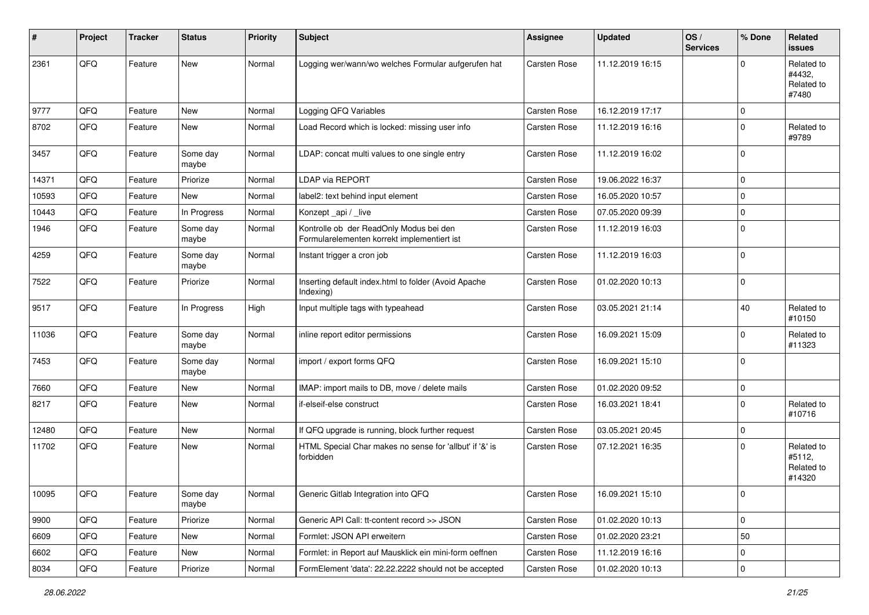| #     | Project | <b>Tracker</b> | <b>Status</b>     | <b>Priority</b> | <b>Subject</b>                                                                         | Assignee     | <b>Updated</b>   | OS/<br><b>Services</b> | % Done      | Related<br>issues                            |
|-------|---------|----------------|-------------------|-----------------|----------------------------------------------------------------------------------------|--------------|------------------|------------------------|-------------|----------------------------------------------|
| 2361  | QFQ     | Feature        | <b>New</b>        | Normal          | Logging wer/wann/wo welches Formular aufgerufen hat                                    | Carsten Rose | 11.12.2019 16:15 |                        | $\Omega$    | Related to<br>#4432,<br>Related to<br>#7480  |
| 9777  | QFQ     | Feature        | New               | Normal          | Logging QFQ Variables                                                                  | Carsten Rose | 16.12.2019 17:17 |                        | $\mathbf 0$ |                                              |
| 8702  | QFQ     | Feature        | New               | Normal          | Load Record which is locked: missing user info                                         | Carsten Rose | 11.12.2019 16:16 |                        | $\mathbf 0$ | Related to<br>#9789                          |
| 3457  | QFQ     | Feature        | Some day<br>maybe | Normal          | LDAP: concat multi values to one single entry                                          | Carsten Rose | 11.12.2019 16:02 |                        | $\Omega$    |                                              |
| 14371 | QFQ     | Feature        | Priorize          | Normal          | LDAP via REPORT                                                                        | Carsten Rose | 19.06.2022 16:37 |                        | $\mathbf 0$ |                                              |
| 10593 | QFQ     | Feature        | New               | Normal          | label2: text behind input element                                                      | Carsten Rose | 16.05.2020 10:57 |                        | $\Omega$    |                                              |
| 10443 | QFQ     | Feature        | In Progress       | Normal          | Konzept_api / _live                                                                    | Carsten Rose | 07.05.2020 09:39 |                        | $\mathbf 0$ |                                              |
| 1946  | QFQ     | Feature        | Some day<br>maybe | Normal          | Kontrolle ob der ReadOnly Modus bei den<br>Formularelementen korrekt implementiert ist | Carsten Rose | 11.12.2019 16:03 |                        | $\Omega$    |                                              |
| 4259  | QFQ     | Feature        | Some day<br>maybe | Normal          | Instant trigger a cron job                                                             | Carsten Rose | 11.12.2019 16:03 |                        | $\Omega$    |                                              |
| 7522  | QFQ     | Feature        | Priorize          | Normal          | Inserting default index.html to folder (Avoid Apache<br>Indexing)                      | Carsten Rose | 01.02.2020 10:13 |                        | $\Omega$    |                                              |
| 9517  | QFQ     | Feature        | In Progress       | High            | Input multiple tags with typeahead                                                     | Carsten Rose | 03.05.2021 21:14 |                        | 40          | Related to<br>#10150                         |
| 11036 | QFQ     | Feature        | Some day<br>maybe | Normal          | inline report editor permissions                                                       | Carsten Rose | 16.09.2021 15:09 |                        | $\Omega$    | Related to<br>#11323                         |
| 7453  | QFQ     | Feature        | Some day<br>maybe | Normal          | import / export forms QFQ                                                              | Carsten Rose | 16.09.2021 15:10 |                        | $\mathbf 0$ |                                              |
| 7660  | QFQ     | Feature        | New               | Normal          | IMAP: import mails to DB, move / delete mails                                          | Carsten Rose | 01.02.2020 09:52 |                        | $\mathbf 0$ |                                              |
| 8217  | QFQ     | Feature        | <b>New</b>        | Normal          | if-elseif-else construct                                                               | Carsten Rose | 16.03.2021 18:41 |                        | $\Omega$    | Related to<br>#10716                         |
| 12480 | QFQ     | Feature        | <b>New</b>        | Normal          | If QFQ upgrade is running, block further request                                       | Carsten Rose | 03.05.2021 20:45 |                        | $\mathbf 0$ |                                              |
| 11702 | QFQ     | Feature        | New               | Normal          | HTML Special Char makes no sense for 'allbut' if '&' is<br>forbidden                   | Carsten Rose | 07.12.2021 16:35 |                        | $\Omega$    | Related to<br>#5112,<br>Related to<br>#14320 |
| 10095 | QFQ     | Feature        | Some day<br>maybe | Normal          | Generic Gitlab Integration into QFQ                                                    | Carsten Rose | 16.09.2021 15:10 |                        | ΙO          |                                              |
| 9900  | QFQ     | Feature        | Priorize          | Normal          | Generic API Call: tt-content record >> JSON                                            | Carsten Rose | 01.02.2020 10:13 |                        | 0           |                                              |
| 6609  | QFQ     | Feature        | New               | Normal          | Formlet: JSON API erweitern                                                            | Carsten Rose | 01.02.2020 23:21 |                        | 50          |                                              |
| 6602  | QFQ     | Feature        | New               | Normal          | Formlet: in Report auf Mausklick ein mini-form oeffnen                                 | Carsten Rose | 11.12.2019 16:16 |                        | 0           |                                              |
| 8034  | QFQ     | Feature        | Priorize          | Normal          | FormElement 'data': 22.22.2222 should not be accepted                                  | Carsten Rose | 01.02.2020 10:13 |                        | $\mathbf 0$ |                                              |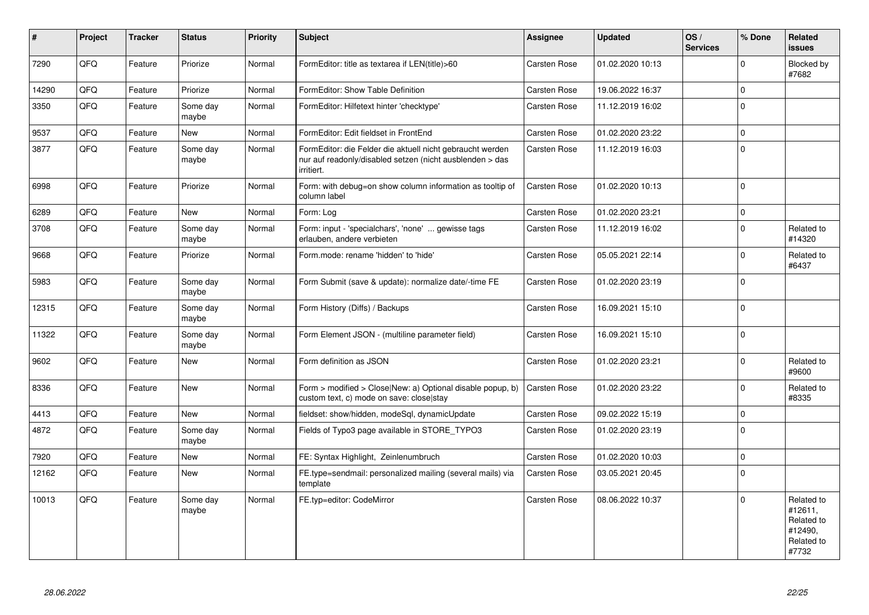| #     | Project | <b>Tracker</b> | <b>Status</b>     | <b>Priority</b> | <b>Subject</b>                                                                                                                      | Assignee            | <b>Updated</b>   | OS/<br><b>Services</b> | % Done      | Related<br>issues                                                     |
|-------|---------|----------------|-------------------|-----------------|-------------------------------------------------------------------------------------------------------------------------------------|---------------------|------------------|------------------------|-------------|-----------------------------------------------------------------------|
| 7290  | QFQ     | Feature        | Priorize          | Normal          | FormEditor: title as textarea if LEN(title)>60                                                                                      | Carsten Rose        | 01.02.2020 10:13 |                        | $\Omega$    | Blocked by<br>#7682                                                   |
| 14290 | QFQ     | Feature        | Priorize          | Normal          | FormEditor: Show Table Definition                                                                                                   | <b>Carsten Rose</b> | 19.06.2022 16:37 |                        | $\pmb{0}$   |                                                                       |
| 3350  | QFQ     | Feature        | Some day<br>maybe | Normal          | FormEditor: Hilfetext hinter 'checktype'                                                                                            | <b>Carsten Rose</b> | 11.12.2019 16:02 |                        | $\Omega$    |                                                                       |
| 9537  | QFQ     | Feature        | New               | Normal          | FormEditor: Edit fieldset in FrontEnd                                                                                               | <b>Carsten Rose</b> | 01.02.2020 23:22 |                        | $\pmb{0}$   |                                                                       |
| 3877  | QFQ     | Feature        | Some day<br>maybe | Normal          | FormEditor: die Felder die aktuell nicht gebraucht werden<br>nur auf readonly/disabled setzen (nicht ausblenden > das<br>irritiert. | <b>Carsten Rose</b> | 11.12.2019 16:03 |                        | $\Omega$    |                                                                       |
| 6998  | QFQ     | Feature        | Priorize          | Normal          | Form: with debug=on show column information as tooltip of<br>column label                                                           | <b>Carsten Rose</b> | 01.02.2020 10:13 |                        | $\Omega$    |                                                                       |
| 6289  | QFQ     | Feature        | <b>New</b>        | Normal          | Form: Log                                                                                                                           | Carsten Rose        | 01.02.2020 23:21 |                        | $\mathbf 0$ |                                                                       |
| 3708  | QFQ     | Feature        | Some day<br>maybe | Normal          | Form: input - 'specialchars', 'none'  gewisse tags<br>erlauben, andere verbieten                                                    | Carsten Rose        | 11.12.2019 16:02 |                        | $\Omega$    | Related to<br>#14320                                                  |
| 9668  | QFQ     | Feature        | Priorize          | Normal          | Form.mode: rename 'hidden' to 'hide'                                                                                                | Carsten Rose        | 05.05.2021 22:14 |                        | $\Omega$    | Related to<br>#6437                                                   |
| 5983  | QFQ     | Feature        | Some day<br>maybe | Normal          | Form Submit (save & update): normalize date/-time FE                                                                                | <b>Carsten Rose</b> | 01.02.2020 23:19 |                        | $\mathbf 0$ |                                                                       |
| 12315 | QFQ     | Feature        | Some day<br>maybe | Normal          | Form History (Diffs) / Backups                                                                                                      | <b>Carsten Rose</b> | 16.09.2021 15:10 |                        | $\mathbf 0$ |                                                                       |
| 11322 | QFQ     | Feature        | Some day<br>maybe | Normal          | Form Element JSON - (multiline parameter field)                                                                                     | Carsten Rose        | 16.09.2021 15:10 |                        | $\Omega$    |                                                                       |
| 9602  | QFQ     | Feature        | New               | Normal          | Form definition as JSON                                                                                                             | <b>Carsten Rose</b> | 01.02.2020 23:21 |                        | $\Omega$    | Related to<br>#9600                                                   |
| 8336  | QFQ     | Feature        | New               | Normal          | Form > modified > Close New: a) Optional disable popup, b)<br>custom text, c) mode on save: close stay                              | Carsten Rose        | 01.02.2020 23:22 |                        | $\mathbf 0$ | Related to<br>#8335                                                   |
| 4413  | QFQ     | Feature        | <b>New</b>        | Normal          | fieldset: show/hidden, modeSql, dynamicUpdate                                                                                       | Carsten Rose        | 09.02.2022 15:19 |                        | $\mathbf 0$ |                                                                       |
| 4872  | QFQ     | Feature        | Some day<br>maybe | Normal          | Fields of Typo3 page available in STORE_TYPO3                                                                                       | Carsten Rose        | 01.02.2020 23:19 |                        | $\mathbf 0$ |                                                                       |
| 7920  | QFQ     | Feature        | <b>New</b>        | Normal          | FE: Syntax Highlight, Zeinlenumbruch                                                                                                | Carsten Rose        | 01.02.2020 10:03 |                        | $\mathbf 0$ |                                                                       |
| 12162 | QFQ     | Feature        | New               | Normal          | FE.type=sendmail: personalized mailing (several mails) via<br>template                                                              | Carsten Rose        | 03.05.2021 20:45 |                        | $\Omega$    |                                                                       |
| 10013 | QFQ     | Feature        | Some day<br>maybe | Normal          | FE.typ=editor: CodeMirror                                                                                                           | <b>Carsten Rose</b> | 08.06.2022 10:37 |                        | $\Omega$    | Related to<br>#12611,<br>Related to<br>#12490.<br>Related to<br>#7732 |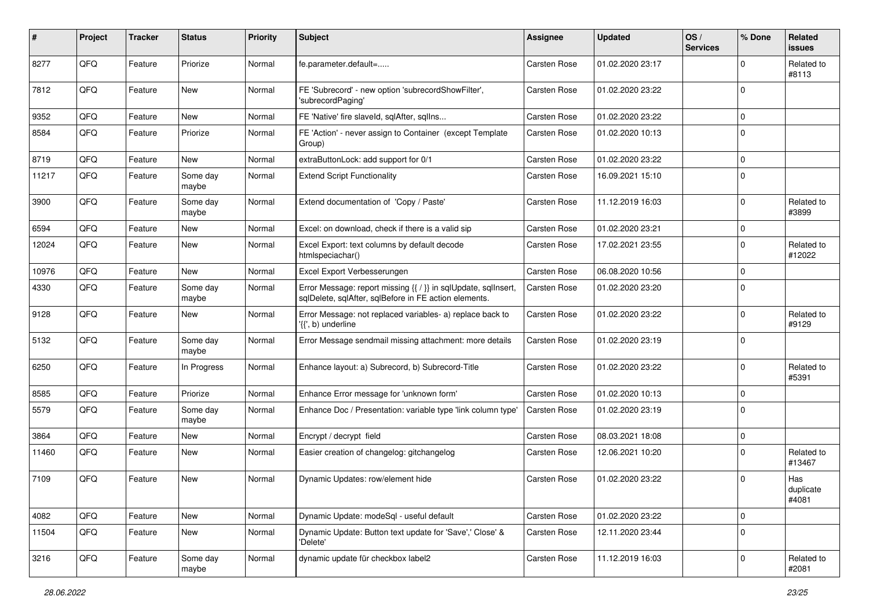| #     | Project | <b>Tracker</b> | <b>Status</b>     | <b>Priority</b> | Subject                                                                                                                 | <b>Assignee</b>     | <b>Updated</b>   | OS/<br><b>Services</b> | % Done      | Related<br>issues         |
|-------|---------|----------------|-------------------|-----------------|-------------------------------------------------------------------------------------------------------------------------|---------------------|------------------|------------------------|-------------|---------------------------|
| 8277  | QFQ     | Feature        | Priorize          | Normal          | fe.parameter.default=                                                                                                   | <b>Carsten Rose</b> | 01.02.2020 23:17 |                        | $\Omega$    | Related to<br>#8113       |
| 7812  | QFQ     | Feature        | New               | Normal          | FE 'Subrecord' - new option 'subrecordShowFilter',<br>'subrecordPaging'                                                 | Carsten Rose        | 01.02.2020 23:22 |                        | $\mathbf 0$ |                           |
| 9352  | QFQ     | Feature        | <b>New</b>        | Normal          | FE 'Native' fire slaveld, sqlAfter, sqlIns                                                                              | Carsten Rose        | 01.02.2020 23:22 |                        | $\Omega$    |                           |
| 8584  | QFQ     | Feature        | Priorize          | Normal          | FE 'Action' - never assign to Container (except Template<br>Group)                                                      | Carsten Rose        | 01.02.2020 10:13 |                        | $\Omega$    |                           |
| 8719  | QFQ     | Feature        | New               | Normal          | extraButtonLock: add support for 0/1                                                                                    | Carsten Rose        | 01.02.2020 23:22 |                        | $\Omega$    |                           |
| 11217 | QFQ     | Feature        | Some day<br>maybe | Normal          | <b>Extend Script Functionality</b>                                                                                      | Carsten Rose        | 16.09.2021 15:10 |                        | $\Omega$    |                           |
| 3900  | QFQ     | Feature        | Some day<br>maybe | Normal          | Extend documentation of 'Copy / Paste'                                                                                  | Carsten Rose        | 11.12.2019 16:03 |                        | $\Omega$    | Related to<br>#3899       |
| 6594  | QFQ     | Feature        | <b>New</b>        | Normal          | Excel: on download, check if there is a valid sip                                                                       | Carsten Rose        | 01.02.2020 23:21 |                        | $\mathbf 0$ |                           |
| 12024 | QFQ     | Feature        | New               | Normal          | Excel Export: text columns by default decode<br>htmlspeciachar()                                                        | Carsten Rose        | 17.02.2021 23:55 |                        | $\mathbf 0$ | Related to<br>#12022      |
| 10976 | QFQ     | Feature        | New               | Normal          | Excel Export Verbesserungen                                                                                             | Carsten Rose        | 06.08.2020 10:56 |                        | $\Omega$    |                           |
| 4330  | QFQ     | Feature        | Some day<br>maybe | Normal          | Error Message: report missing {{ / }} in sqlUpdate, sqlInsert,<br>sqlDelete, sqlAfter, sqlBefore in FE action elements. | <b>Carsten Rose</b> | 01.02.2020 23:20 |                        | $\Omega$    |                           |
| 9128  | QFQ     | Feature        | <b>New</b>        | Normal          | Error Message: not replaced variables- a) replace back to<br>'{{', b) underline                                         | Carsten Rose        | 01.02.2020 23:22 |                        | $\Omega$    | Related to<br>#9129       |
| 5132  | QFQ     | Feature        | Some day<br>maybe | Normal          | Error Message sendmail missing attachment: more details                                                                 | Carsten Rose        | 01.02.2020 23:19 |                        | $\mathbf 0$ |                           |
| 6250  | QFQ     | Feature        | In Progress       | Normal          | Enhance layout: a) Subrecord, b) Subrecord-Title                                                                        | Carsten Rose        | 01.02.2020 23:22 |                        | $\mathbf 0$ | Related to<br>#5391       |
| 8585  | QFQ     | Feature        | Priorize          | Normal          | Enhance Error message for 'unknown form'                                                                                | Carsten Rose        | 01.02.2020 10:13 |                        | 0           |                           |
| 5579  | QFQ     | Feature        | Some day<br>maybe | Normal          | Enhance Doc / Presentation: variable type 'link column type'                                                            | Carsten Rose        | 01.02.2020 23:19 |                        | $\mathbf 0$ |                           |
| 3864  | QFQ     | Feature        | <b>New</b>        | Normal          | Encrypt / decrypt field                                                                                                 | Carsten Rose        | 08.03.2021 18:08 |                        | 0           |                           |
| 11460 | QFQ     | Feature        | New               | Normal          | Easier creation of changelog: gitchangelog                                                                              | Carsten Rose        | 12.06.2021 10:20 |                        | 0           | Related to<br>#13467      |
| 7109  | QFQ     | Feature        | <b>New</b>        | Normal          | Dynamic Updates: row/element hide                                                                                       | Carsten Rose        | 01.02.2020 23:22 |                        | $\mathbf 0$ | Has<br>duplicate<br>#4081 |
| 4082  | QFQ     | Feature        | New               | Normal          | Dynamic Update: modeSql - useful default                                                                                | Carsten Rose        | 01.02.2020 23:22 |                        | 0           |                           |
| 11504 | QFQ     | Feature        | New               | Normal          | Dynamic Update: Button text update for 'Save',' Close' &<br>'Delete'                                                    | Carsten Rose        | 12.11.2020 23:44 |                        | 0           |                           |
| 3216  | QFG     | Feature        | Some day<br>maybe | Normal          | dynamic update für checkbox label2                                                                                      | Carsten Rose        | 11.12.2019 16:03 |                        | 0           | Related to<br>#2081       |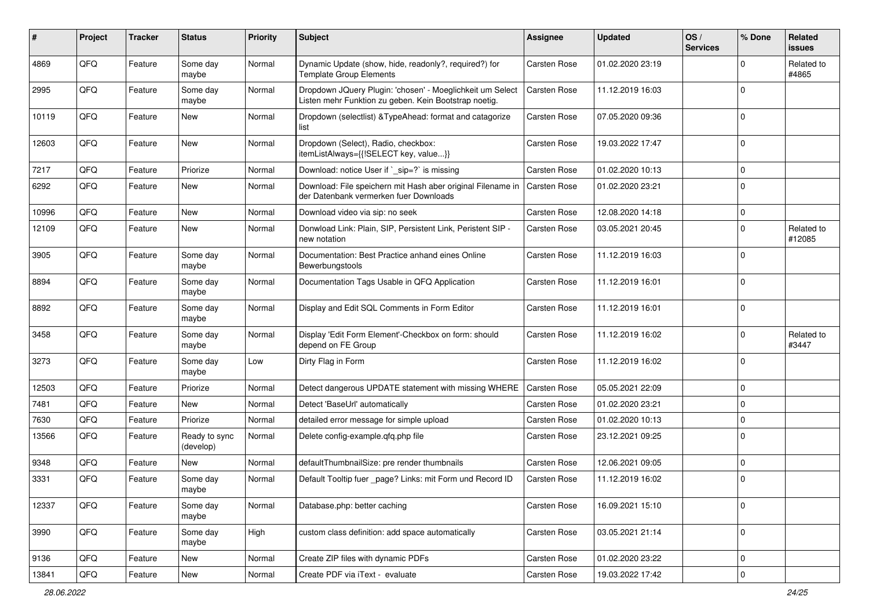| ∦     | Project | <b>Tracker</b> | <b>Status</b>              | <b>Priority</b> | <b>Subject</b>                                                                                                     | <b>Assignee</b>     | <b>Updated</b>   | OS/<br><b>Services</b> | % Done      | Related<br>issues    |
|-------|---------|----------------|----------------------------|-----------------|--------------------------------------------------------------------------------------------------------------------|---------------------|------------------|------------------------|-------------|----------------------|
| 4869  | QFQ     | Feature        | Some day<br>maybe          | Normal          | Dynamic Update (show, hide, readonly?, required?) for<br><b>Template Group Elements</b>                            | <b>Carsten Rose</b> | 01.02.2020 23:19 |                        | $\Omega$    | Related to<br>#4865  |
| 2995  | QFQ     | Feature        | Some day<br>maybe          | Normal          | Dropdown JQuery Plugin: 'chosen' - Moeglichkeit um Select<br>Listen mehr Funktion zu geben. Kein Bootstrap noetig. | <b>Carsten Rose</b> | 11.12.2019 16:03 |                        | $\mathbf 0$ |                      |
| 10119 | QFQ     | Feature        | New                        | Normal          | Dropdown (selectlist) & TypeAhead: format and catagorize<br>list                                                   | <b>Carsten Rose</b> | 07.05.2020 09:36 |                        | $\mathbf 0$ |                      |
| 12603 | QFQ     | Feature        | New                        | Normal          | Dropdown (Select), Radio, checkbox:<br>itemListAlways={{!SELECT key, value}}                                       | <b>Carsten Rose</b> | 19.03.2022 17:47 |                        | $\Omega$    |                      |
| 7217  | QFQ     | Feature        | Priorize                   | Normal          | Download: notice User if `_sip=?` is missing                                                                       | <b>Carsten Rose</b> | 01.02.2020 10:13 |                        | $\mathbf 0$ |                      |
| 6292  | QFQ     | Feature        | New                        | Normal          | Download: File speichern mit Hash aber original Filename in<br>der Datenbank vermerken fuer Downloads              | <b>Carsten Rose</b> | 01.02.2020 23:21 |                        | $\Omega$    |                      |
| 10996 | QFQ     | Feature        | New                        | Normal          | Download video via sip: no seek                                                                                    | <b>Carsten Rose</b> | 12.08.2020 14:18 |                        | 0           |                      |
| 12109 | QFQ     | Feature        | New                        | Normal          | Donwload Link: Plain, SIP, Persistent Link, Peristent SIP -<br>new notation                                        | <b>Carsten Rose</b> | 03.05.2021 20:45 |                        | $\mathbf 0$ | Related to<br>#12085 |
| 3905  | QFQ     | Feature        | Some day<br>maybe          | Normal          | Documentation: Best Practice anhand eines Online<br>Bewerbungstools                                                | <b>Carsten Rose</b> | 11.12.2019 16:03 |                        | $\Omega$    |                      |
| 8894  | QFQ     | Feature        | Some day<br>maybe          | Normal          | Documentation Tags Usable in QFQ Application                                                                       | <b>Carsten Rose</b> | 11.12.2019 16:01 |                        | $\Omega$    |                      |
| 8892  | QFQ     | Feature        | Some day<br>maybe          | Normal          | Display and Edit SQL Comments in Form Editor                                                                       | Carsten Rose        | 11.12.2019 16:01 |                        | $\Omega$    |                      |
| 3458  | QFQ     | Feature        | Some day<br>maybe          | Normal          | Display 'Edit Form Element'-Checkbox on form: should<br>depend on FE Group                                         | Carsten Rose        | 11.12.2019 16:02 |                        | $\mathbf 0$ | Related to<br>#3447  |
| 3273  | QFQ     | Feature        | Some day<br>maybe          | Low             | Dirty Flag in Form                                                                                                 | <b>Carsten Rose</b> | 11.12.2019 16:02 |                        | $\mathbf 0$ |                      |
| 12503 | QFQ     | Feature        | Priorize                   | Normal          | Detect dangerous UPDATE statement with missing WHERE                                                               | <b>Carsten Rose</b> | 05.05.2021 22:09 |                        | 0           |                      |
| 7481  | QFQ     | Feature        | New                        | Normal          | Detect 'BaseUrl' automatically                                                                                     | Carsten Rose        | 01.02.2020 23:21 |                        | $\Omega$    |                      |
| 7630  | QFQ     | Feature        | Priorize                   | Normal          | detailed error message for simple upload                                                                           | <b>Carsten Rose</b> | 01.02.2020 10:13 |                        | $\mathbf 0$ |                      |
| 13566 | QFQ     | Feature        | Ready to sync<br>(develop) | Normal          | Delete config-example.qfq.php file                                                                                 | Carsten Rose        | 23.12.2021 09:25 |                        | $\mathbf 0$ |                      |
| 9348  | QFQ     | Feature        | New                        | Normal          | defaultThumbnailSize: pre render thumbnails                                                                        | Carsten Rose        | 12.06.2021 09:05 |                        | $\mathbf 0$ |                      |
| 3331  | QFQ     | Feature        | Some day<br>maybe          | Normal          | Default Tooltip fuer _page? Links: mit Form und Record ID                                                          | <b>Carsten Rose</b> | 11.12.2019 16:02 |                        | $\mathbf 0$ |                      |
| 12337 | QFQ     | Feature        | Some day<br>maybe          | Normal          | Database.php: better caching                                                                                       | Carsten Rose        | 16.09.2021 15:10 |                        | $\mathbf 0$ |                      |
| 3990  | QFQ     | Feature        | Some day<br>maybe          | High            | custom class definition: add space automatically                                                                   | Carsten Rose        | 03.05.2021 21:14 |                        | 0           |                      |
| 9136  | QFQ     | Feature        | New                        | Normal          | Create ZIP files with dynamic PDFs                                                                                 | Carsten Rose        | 01.02.2020 23:22 |                        | 0           |                      |
| 13841 | QFQ     | Feature        | New                        | Normal          | Create PDF via iText - evaluate                                                                                    | Carsten Rose        | 19.03.2022 17:42 |                        | 0           |                      |